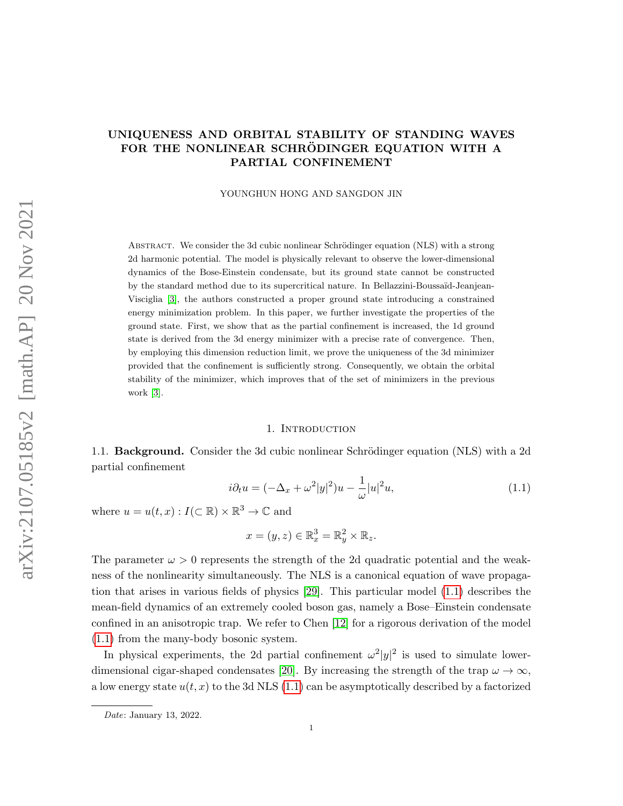# UNIQUENESS AND ORBITAL STABILITY OF STANDING WAVES FOR THE NONLINEAR SCHRÖDINGER EQUATION WITH A PARTIAL CONFINEMENT

YOUNGHUN HONG AND SANGDON JIN

ABSTRACT. We consider the 3d cubic nonlinear Schrödinger equation (NLS) with a strong 2d harmonic potential. The model is physically relevant to observe the lower-dimensional dynamics of the Bose-Einstein condensate, but its ground state cannot be constructed by the standard method due to its supercritical nature. In Bellazzini-Boussa¨ıd-Jeanjean-Visciglia [\[3\]](#page-24-0), the authors constructed a proper ground state introducing a constrained energy minimization problem. In this paper, we further investigate the properties of the ground state. First, we show that as the partial confinement is increased, the 1d ground state is derived from the 3d energy minimizer with a precise rate of convergence. Then, by employing this dimension reduction limit, we prove the uniqueness of the 3d minimizer provided that the confinement is sufficiently strong. Consequently, we obtain the orbital stability of the minimizer, which improves that of the set of minimizers in the previous work [\[3\]](#page-24-0).

#### 1. Introduction

1.1. **Background.** Consider the 3d cubic nonlinear Schrödinger equation (NLS) with a 2d partial confinement

<span id="page-0-0"></span>
$$
i\partial_t u = (-\Delta_x + \omega^2 |y|^2)u - \frac{1}{\omega}|u|^2 u,\tag{1.1}
$$

where  $u = u(t, x) : I(\subset \mathbb{R}) \times \mathbb{R}^3 \to \mathbb{C}$  and

$$
x = (y, z) \in \mathbb{R}_x^3 = \mathbb{R}_y^2 \times \mathbb{R}_z.
$$

The parameter  $\omega > 0$  represents the strength of the 2d quadratic potential and the weakness of the nonlinearity simultaneously. The NLS is a canonical equation of wave propagation that arises in various fields of physics [\[29\]](#page-25-0). This particular model [\(1.1\)](#page-0-0) describes the mean-field dynamics of an extremely cooled boson gas, namely a Bose–Einstein condensate confined in an anisotropic trap. We refer to Chen [\[12\]](#page-24-1) for a rigorous derivation of the model [\(1.1\)](#page-0-0) from the many-body bosonic system.

In physical experiments, the 2d partial confinement  $\omega^2|y|^2$  is used to simulate lower-dimensional cigar-shaped condensates [\[20\]](#page-25-1). By increasing the strength of the trap  $\omega \to \infty$ , a low energy state  $u(t, x)$  to the 3d NLS [\(1.1\)](#page-0-0) can be asymptotically described by a factorized

Date: January 13, 2022.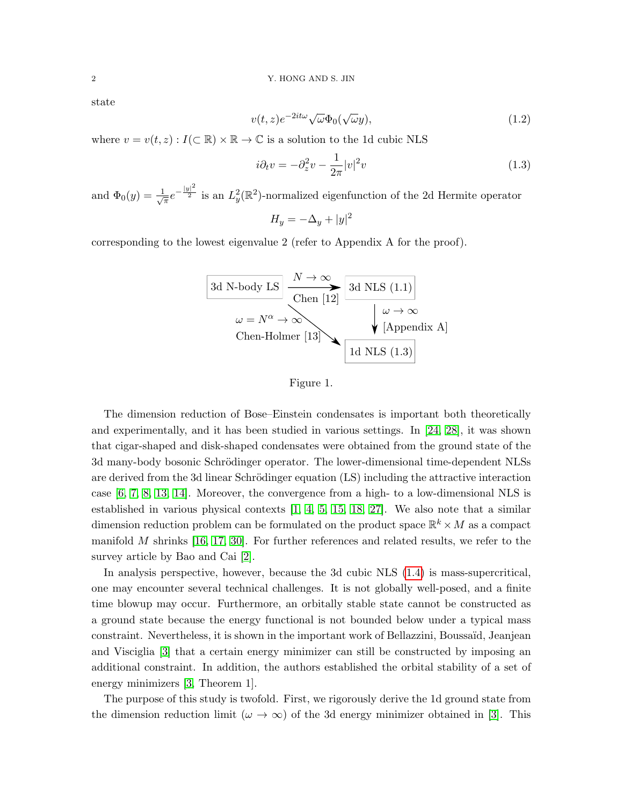state

<span id="page-1-0"></span>
$$
v(t,z)e^{-2it\omega}\sqrt{\omega}\Phi_0(\sqrt{\omega}y),\tag{1.2}
$$

where  $v = v(t, z) : I(\subset \mathbb{R}) \times \mathbb{R} \to \mathbb{C}$  is a solution to the 1d cubic NLS

<span id="page-1-1"></span>
$$
i\partial_t v = -\partial_z^2 v - \frac{1}{2\pi} |v|^2 v \tag{1.3}
$$

and  $\Phi_0(y) = \frac{1}{\sqrt{2}}$  $\frac{1}{\pi}e^{-\frac{|y|^2}{2}}$  is an  $L^2_y(\mathbb{R}^2)$ -normalized eigenfunction of the 2d Hermite operator

 $H_y = -\Delta_y + |y|^2$ 

corresponding to the lowest eigenvalue 2 (refer to Appendix A for the proof).





The dimension reduction of Bose–Einstein condensates is important both theoretically and experimentally, and it has been studied in various settings. In [\[24,](#page-25-2) [28\]](#page-25-3), it was shown that cigar-shaped and disk-shaped condensates were obtained from the ground state of the 3d many-body bosonic Schrödinger operator. The lower-dimensional time-dependent NLSs are derived from the 3d linear Schrödinger equation (LS) including the attractive interaction case [\[6,](#page-24-2) [7,](#page-24-3) [8,](#page-24-4) [13,](#page-24-5) [14\]](#page-24-6). Moreover, the convergence from a high- to a low-dimensional NLS is established in various physical contexts [\[1,](#page-24-7) [4,](#page-24-8) [5,](#page-24-9) [15,](#page-24-10) [18,](#page-25-4) [27\]](#page-25-5). We also note that a similar dimension reduction problem can be formulated on the product space  $\mathbb{R}^k \times M$  as a compact manifold  $M$  shrinks [\[16,](#page-25-6) [17,](#page-25-7) [30\]](#page-25-8). For further references and related results, we refer to the survey article by Bao and Cai [\[2\]](#page-24-11).

In analysis perspective, however, because the 3d cubic NLS [\(1.4\)](#page-2-0) is mass-supercritical, one may encounter several technical challenges. It is not globally well-posed, and a finite time blowup may occur. Furthermore, an orbitally stable state cannot be constructed as a ground state because the energy functional is not bounded below under a typical mass constraint. Nevertheless, it is shown in the important work of Bellazzini, Boussaïd, Jeanjean and Visciglia [\[3\]](#page-24-0) that a certain energy minimizer can still be constructed by imposing an additional constraint. In addition, the authors established the orbital stability of a set of energy minimizers [\[3,](#page-24-0) Theorem 1].

The purpose of this study is twofold. First, we rigorously derive the 1d ground state from the dimension reduction limit ( $\omega \to \infty$ ) of the 3d energy minimizer obtained in [\[3\]](#page-24-0). This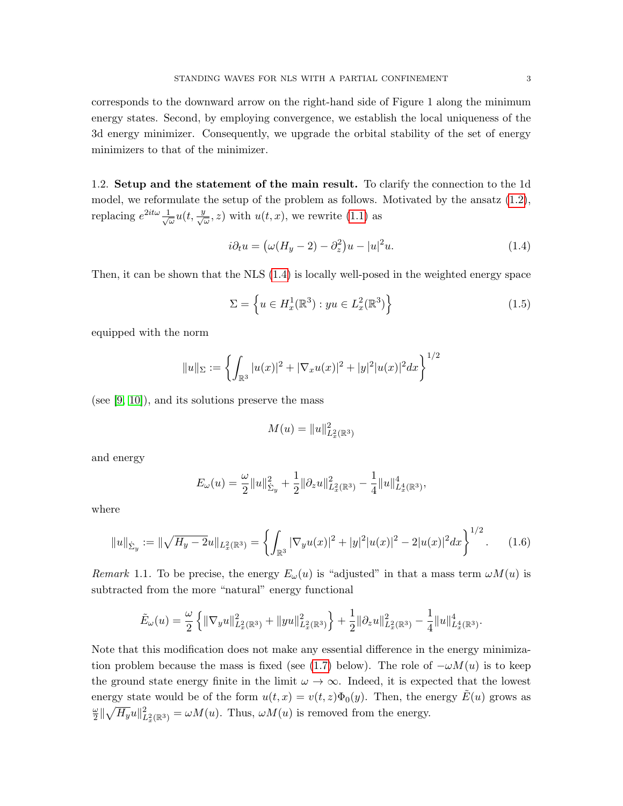corresponds to the downward arrow on the right-hand side of Figure 1 along the minimum energy states. Second, by employing convergence, we establish the local uniqueness of the 3d energy minimizer. Consequently, we upgrade the orbital stability of the set of energy minimizers to that of the minimizer.

1.2. Setup and the statement of the main result. To clarify the connection to the 1d model, we reformulate the setup of the problem as follows. Motivated by the ansatz [\(1.2\)](#page-1-0), replacing  $e^{2it\omega} \frac{1}{\sqrt{2}}$  $\frac{1}{\omega}u(t, \frac{y}{\sqrt{\omega}}, z)$  with  $u(t, x)$ , we rewrite [\(1.1\)](#page-0-0) as

<span id="page-2-0"></span>
$$
i\partial_t u = \left(\omega(H_y - 2) - \partial_z^2\right)u - |u|^2u.
$$
\n(1.4)

Then, it can be shown that the NLS [\(1.4\)](#page-2-0) is locally well-posed in the weighted energy space

<span id="page-2-2"></span>
$$
\Sigma = \left\{ u \in H_x^1(\mathbb{R}^3) : yu \in L_x^2(\mathbb{R}^3) \right\}
$$
\n
$$
(1.5)
$$

equipped with the norm

$$
||u||_{\Sigma} := \left\{ \int_{\mathbb{R}^3} |u(x)|^2 + |\nabla_x u(x)|^2 + |y|^2 |u(x)|^2 dx \right\}^{1/2}
$$

(see [\[9,](#page-24-12) [10\]](#page-24-13)), and its solutions preserve the mass

$$
M(u) = \|u\|_{L^2_x(\mathbb{R}^3)}^2
$$

and energy

$$
E_{\omega}(u) = \frac{\omega}{2} ||u||_{\Sigma_y}^2 + \frac{1}{2} ||\partial_z u||_{L_x^2(\mathbb{R}^3)}^2 - \frac{1}{4} ||u||_{L_x^4(\mathbb{R}^3)}^4,
$$

where

<span id="page-2-1"></span>
$$
||u||_{\dot{\Sigma}_y} := ||\sqrt{H_y - 2}u||_{L_x^2(\mathbb{R}^3)} = \left\{ \int_{\mathbb{R}^3} |\nabla_y u(x)|^2 + |y|^2 |u(x)|^2 - 2|u(x)|^2 dx \right\}^{1/2}.
$$
 (1.6)

Remark 1.1. To be precise, the energy  $E_{\omega}(u)$  is "adjusted" in that a mass term  $\omega M(u)$  is subtracted from the more "natural" energy functional

$$
\tilde{E}_{\omega}(u) = \frac{\omega}{2} \left\{ \|\nabla_y u\|_{L_x^2(\mathbb{R}^3)}^2 + \|yu\|_{L_x^2(\mathbb{R}^3)}^2 \right\} + \frac{1}{2} \|\partial_z u\|_{L_x^2(\mathbb{R}^3)}^2 - \frac{1}{4} \|u\|_{L_x^4(\mathbb{R}^3)}^4.
$$

Note that this modification does not make any essential difference in the energy minimiza-tion problem because the mass is fixed (see [\(1.7\)](#page-3-0) below). The role of  $-\omega M(u)$  is to keep the ground state energy finite in the limit  $\omega \to \infty$ . Indeed, it is expected that the lowest energy state would be of the form  $u(t, x) = v(t, z)\Phi_0(y)$ . Then, the energy  $\tilde{E}(u)$  grows as ω  $\frac{\omega}{2} \|\sqrt{H_y}u\|_{L_x^2(\mathbb{R}^3)}^2 = \omega M(u)$ . Thus,  $\omega M(u)$  is removed from the energy.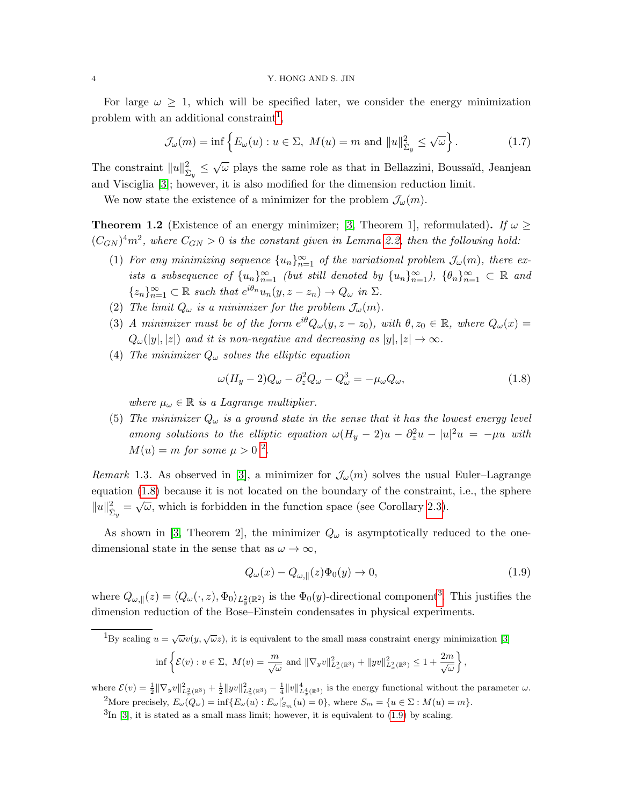For large  $\omega \geq 1$ , which will be specified later, we consider the energy minimization problem with an additional constraint<sup>[1](#page-3-1)</sup>,

<span id="page-3-0"></span>
$$
\mathcal{J}_{\omega}(m) = \inf \left\{ E_{\omega}(u) : u \in \Sigma, \ M(u) = m \text{ and } ||u||_{\dot{\Sigma}_y}^2 \le \sqrt{\omega} \right\}.
$$
 (1.7)

The constraint  $||u||_{\dot{\Sigma}_y}^2 \leq \sqrt{\omega}$  plays the same role as that in Bellazzini, Boussaïd, Jeanjean and Visciglia [\[3\]](#page-24-0); however, it is also modified for the dimension reduction limit.

We now state the existence of a minimizer for the problem  $\mathcal{J}_{\omega}(m)$ .

<span id="page-3-6"></span>**Theorem 1.2** (Existence of an energy minimizer; [\[3,](#page-24-0) Theorem 1], reformulated). If  $\omega \ge$  $(C_{GN})^4 m^2$ , where  $C_{GN} > 0$  is the constant given in Lemma [2.2,](#page-7-0) then the following hold:

- (1) For any minimizing sequence  ${u_n}_{n=1}^{\infty}$  of the variational problem  $\mathcal{J}_{\omega}(m)$ , there exists a subsequence of  $\{u_n\}_{n=1}^{\infty}$  (but still denoted by  $\{u_n\}_{n=1}^{\infty}$ ),  $\{\theta_n\}_{n=1}^{\infty} \subset \mathbb{R}$  and  ${z_n}_{n=1}^{\infty} \subset \mathbb{R}$  such that  $e^{i\theta_n} u_n(y, z - z_n) \to Q_\omega$  in  $\Sigma$ .
- (2) The limit  $Q_{\omega}$  is a minimizer for the problem  $\mathcal{J}_{\omega}(m)$ .
- (3) A minimizer must be of the form  $e^{i\theta}Q_{\omega}(y, z z_0)$ , with  $\theta, z_0 \in \mathbb{R}$ , where  $Q_{\omega}(x) =$  $Q_{\omega}(y, |z|)$  and it is non-negative and decreasing as  $|y|, |z| \to \infty$ .
- (4) The minimizer  $Q_{\omega}$  solves the elliptic equation

<span id="page-3-3"></span>
$$
\omega(H_y - 2)Q_\omega - \partial_z^2 Q_\omega - Q_\omega^3 = -\mu_\omega Q_\omega,\tag{1.8}
$$

where  $\mu_{\omega} \in \mathbb{R}$  is a Lagrange multiplier.

(5) The minimizer  $Q_{\omega}$  is a ground state in the sense that it has the lowest energy level among solutions to the elliptic equation  $\omega(H_y - 2)u - \partial_z^2 u - |u|^2 u = -\mu u$  with  $M(u) = m$  for some  $\mu > 0$  <sup>[2](#page-3-2)</sup>.

Remark 1.3. As observed in [\[3\]](#page-24-0), a minimizer for  $\mathcal{J}_{\omega}(m)$  solves the usual Euler–Lagrange equation [\(1.8\)](#page-3-3) because it is not located on the boundary of the constraint, i.e., the sphere  $||u||_{\Sigma_y}^2 = \sqrt{\omega}$ , which is forbidden in the function space (see Corollary [2.3\)](#page-8-0).

As shown in [\[3,](#page-24-0) Theorem 2], the minimizer  $Q_{\omega}$  is asymptotically reduced to the onedimensional state in the sense that as  $\omega \to \infty$ ,

<span id="page-3-5"></span>
$$
Q_{\omega}(x) - Q_{\omega, \parallel}(z)\Phi_0(y) \to 0,\tag{1.9}
$$

where  $Q_{\omega,\parallel}(z) = \langle Q_{\omega}(\cdot, z), \Phi_0 \rangle_{L_y^2(\mathbb{R}^2)}$  is the  $\Phi_0(y)$ -directional component<sup>[3](#page-3-4)</sup>. This justifies the dimension reduction of the Bose–Einstein condensates in physical experiments.

<span id="page-3-1"></span> $\overline{^{1}_{\text{By scaling}}} u = \sqrt{\omega}v(y, \sqrt{\omega}z)$ , it is equivalent to the small mass constraint energy minimization [\[3\]](#page-24-0)

$$
\inf \left\{ \mathcal{E}(v) : v \in \Sigma, \ M(v) = \frac{m}{\sqrt{\omega}} \text{ and } \|\nabla_y v\|_{L_x^2(\mathbb{R}^3)}^2 + \|yv\|_{L_x^2(\mathbb{R}^3)}^2 \le 1 + \frac{2m}{\sqrt{\omega}} \right\},\
$$

where  $\mathcal{E}(v) = \frac{1}{2} \|\nabla_y v\|_{L_x^2(\mathbb{R}^3)}^2 + \frac{1}{2} \|yv\|_{L_x^2(\mathbb{R}^3)}^2 - \frac{1}{4} \|v\|_{L_x^4(\mathbb{R}^3)}^4$  is the energy functional without the parameter  $\omega$ . <sup>2</sup>More precisely,  $E_{\omega}(Q_{\omega}) = \inf \{ E_{\omega}(u) : E_{\omega}|'_{S_m}(u) = 0 \}$ , where  $S_m = \{ u \in \Sigma : M(u) = m \}$ .

<span id="page-3-4"></span><span id="page-3-2"></span> ${}^{3}\text{In}$  [\[3\]](#page-24-0), it is stated as a small mass limit; however, it is equivalent to [\(1.9\)](#page-3-5) by scaling.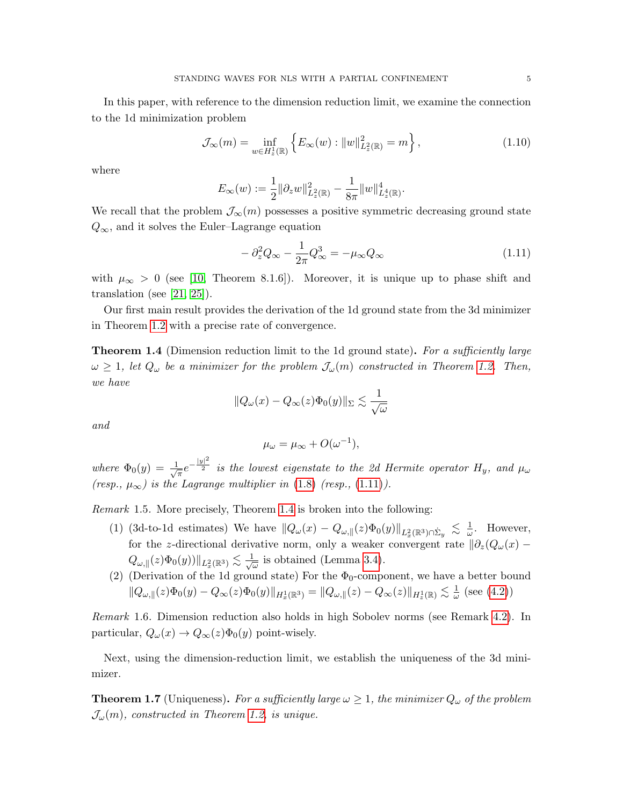In this paper, with reference to the dimension reduction limit, we examine the connection to the 1d minimization problem

<span id="page-4-3"></span>
$$
\mathcal{J}_{\infty}(m) = \inf_{w \in H_z^1(\mathbb{R})} \left\{ E_{\infty}(w) : ||w||^2_{L_z^2(\mathbb{R})} = m \right\},\tag{1.10}
$$

where

$$
E_{\infty}(w) := \frac{1}{2} ||\partial_z w||^2_{L_z^2(\mathbb{R})} - \frac{1}{8\pi} ||w||^4_{L_z^4(\mathbb{R})}.
$$

We recall that the problem  $\mathcal{J}_{\infty}(m)$  possesses a positive symmetric decreasing ground state  $Q_{\infty}$ , and it solves the Euler–Lagrange equation

<span id="page-4-0"></span>
$$
-\partial_z^2 Q_\infty - \frac{1}{2\pi} Q_\infty^3 = -\mu_\infty Q_\infty \tag{1.11}
$$

with  $\mu_{\infty} > 0$  (see [\[10,](#page-24-13) Theorem 8.1.6]). Moreover, it is unique up to phase shift and translation (see  $[21, 25]$  $[21, 25]$ ).

Our first main result provides the derivation of the 1d ground state from the 3d minimizer in Theorem [1.2](#page-3-6) with a precise rate of convergence.

<span id="page-4-1"></span>**Theorem 1.4** (Dimension reduction limit to the 1d ground state). For a sufficiently large  $\omega \geq 1$ , let  $Q_{\omega}$  be a minimizer for the problem  $\mathcal{J}_{\omega}(m)$  constructed in Theorem [1.2.](#page-3-6) Then, we have

$$
||Q_{\omega}(x) - Q_{\infty}(z)\Phi_0(y)||_{\Sigma} \lesssim \frac{1}{\sqrt{\omega}}
$$

and

$$
\mu_{\omega} = \mu_{\infty} + O(\omega^{-1}),
$$

where  $\Phi_0(y) = \frac{1}{\sqrt{2}}$  $\frac{1}{\pi}e^{-\frac{|y|^2}{2}}$  is the lowest eigenstate to the 2d Hermite operator  $H_y$ , and  $\mu_\omega$ (resp.,  $\mu_{\infty}$ ) is the Lagrange multiplier in [\(1.8\)](#page-3-3) (resp., [\(1.11\)](#page-4-0)).

Remark 1.5. More precisely, Theorem [1.4](#page-4-1) is broken into the following:

- (1) (3d-to-1d estimates) We have  $||Q_\omega(x) Q_{\omega,\parallel}(z)\Phi_0(y)||_{L_x^2(\mathbb{R}^3)\cap \dot{\Sigma}_y} \leq \frac{1}{\omega}$  $\frac{1}{\omega}$ . However, for the z-directional derivative norm, only a weaker convergent rate  $\partial_z(Q_\omega(x) Q_{\omega, \parallel}(z) \Phi_0(y))\|_{L^2_x(\R^3)} \lesssim \frac{1}{\sqrt{2}}$  $\equiv$  is obtained (Lemma [3.4\)](#page-13-0).
- (2) (Derivation of the 1d ground state) For the  $\Phi_0$ -component, we have a better bound  $||Q_{\omega, ||}(z)\Phi_0(y) - Q_{\infty}(z)\Phi_0(y)||_{H^1_x(\mathbb{R}^3)} = ||Q_{\omega, ||}(z) - Q_{\infty}(z)||_{H^1_z(\mathbb{R})} \lesssim \frac{1}{\omega}$  $\frac{1}{\omega}$  (see [\(4.2\)](#page-16-0))

Remark 1.6. Dimension reduction also holds in high Sobolev norms (see Remark [4.2\)](#page-17-0). In particular,  $Q_{\omega}(x) \rightarrow Q_{\infty}(z)\Phi_0(y)$  point-wisely.

Next, using the dimension-reduction limit, we establish the uniqueness of the 3d minimizer.

<span id="page-4-2"></span>**Theorem 1.7** (Uniqueness). For a sufficiently large  $\omega \geq 1$ , the minimizer  $Q_{\omega}$  of the problem  $\mathcal{J}_{\omega}(m)$ , constructed in Theorem [1.2,](#page-3-6) is unique.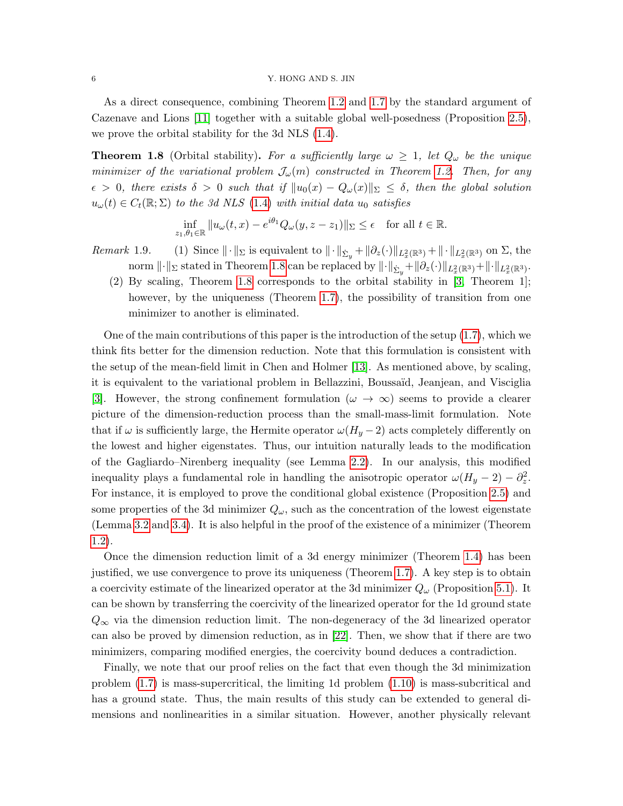## 6 Y. HONG AND S. JIN

As a direct consequence, combining Theorem [1.2](#page-3-6) and [1.7](#page-4-2) by the standard argument of Cazenave and Lions [\[11\]](#page-24-14) together with a suitable global well-posedness (Proposition [2.5\)](#page-9-0), we prove the orbital stability for the 3d NLS [\(1.4\)](#page-2-0).

<span id="page-5-0"></span>**Theorem 1.8** (Orbital stability). For a sufficiently large  $\omega \geq 1$ , let  $Q_{\omega}$  be the unique minimizer of the variational problem  $\mathcal{J}_{\omega}(m)$  constructed in Theorem [1.2.](#page-3-6) Then, for any  $\epsilon > 0$ , there exists  $\delta > 0$  such that if  $||u_0(x) - Q_\omega(x)||_{\Sigma} \leq \delta$ , then the global solution  $u_{\omega}(t) \in C_t(\mathbb{R}; \Sigma)$  to the 3d NLS [\(1.4\)](#page-2-0) with initial data  $u_0$  satisfies

$$
\inf_{z_1,\theta_1\in\mathbb{R}} \|u_\omega(t,x)-e^{i\theta_1}Q_\omega(y,z-z_1)\|_{\Sigma}\leq \epsilon \quad \text{for all } t\in\mathbb{R}.
$$

- Remark 1.9. (1) Since  $\|\cdot\|_{\Sigma}$  is equivalent to  $\|\cdot\|_{\dot{\Sigma}_y}+\|\partial_z(\cdot)\|_{L_x^2(\mathbb{R}^3)}+\|\cdot\|_{L_x^2(\mathbb{R}^3)}$  on  $\Sigma$ , the norm  $\lVert \cdot \rVert_{\Sigma}$  stated in Theorem [1.8](#page-5-0) can be replaced by  $\lVert \cdot \rVert_{\dot{\Sigma}_y} + \lVert \partial_z(\cdot) \rVert_{L^2_x(\mathbb{R}^3)} + \lVert \cdot \rVert_{L^2_x(\mathbb{R}^3)}$ .
	- (2) By scaling, Theorem [1.8](#page-5-0) corresponds to the orbital stability in [\[3,](#page-24-0) Theorem 1]; however, by the uniqueness (Theorem [1.7\)](#page-4-2), the possibility of transition from one minimizer to another is eliminated.

One of the main contributions of this paper is the introduction of the setup [\(1.7\)](#page-3-0), which we think fits better for the dimension reduction. Note that this formulation is consistent with the setup of the mean-field limit in Chen and Holmer [\[13\]](#page-24-5). As mentioned above, by scaling, it is equivalent to the variational problem in Bellazzini, Boussa¨ıd, Jeanjean, and Visciglia [\[3\]](#page-24-0). However, the strong confinement formulation ( $\omega \to \infty$ ) seems to provide a clearer picture of the dimension-reduction process than the small-mass-limit formulation. Note that if  $\omega$  is sufficiently large, the Hermite operator  $\omega(H_y - 2)$  acts completely differently on the lowest and higher eigenstates. Thus, our intuition naturally leads to the modification of the Gagliardo–Nirenberg inequality (see Lemma [2.2\)](#page-7-0). In our analysis, this modified inequality plays a fundamental role in handling the anisotropic operator  $\omega(H_y - 2) - \partial_z^2$ . For instance, it is employed to prove the conditional global existence (Proposition [2.5\)](#page-9-0) and some properties of the 3d minimizer  $Q_{\omega}$ , such as the concentration of the lowest eigenstate (Lemma [3.2](#page-12-0) and [3.4\)](#page-13-0). It is also helpful in the proof of the existence of a minimizer (Theorem [1.2\)](#page-3-6).

Once the dimension reduction limit of a 3d energy minimizer (Theorem [1.4\)](#page-4-1) has been justified, we use convergence to prove its uniqueness (Theorem [1.7\)](#page-4-2). A key step is to obtain a coercivity estimate of the linearized operator at the 3d minimizer  $Q_{\omega}$  (Proposition [5.1\)](#page-17-1). It can be shown by transferring the coercivity of the linearized operator for the 1d ground state  $Q_{\infty}$  via the dimension reduction limit. The non-degeneracy of the 3d linearized operator can also be proved by dimension reduction, as in [\[22\]](#page-25-11). Then, we show that if there are two minimizers, comparing modified energies, the coercivity bound deduces a contradiction.

Finally, we note that our proof relies on the fact that even though the 3d minimization problem [\(1.7\)](#page-3-0) is mass-supercritical, the limiting 1d problem [\(1.10\)](#page-4-3) is mass-subcritical and has a ground state. Thus, the main results of this study can be extended to general dimensions and nonlinearities in a similar situation. However, another physically relevant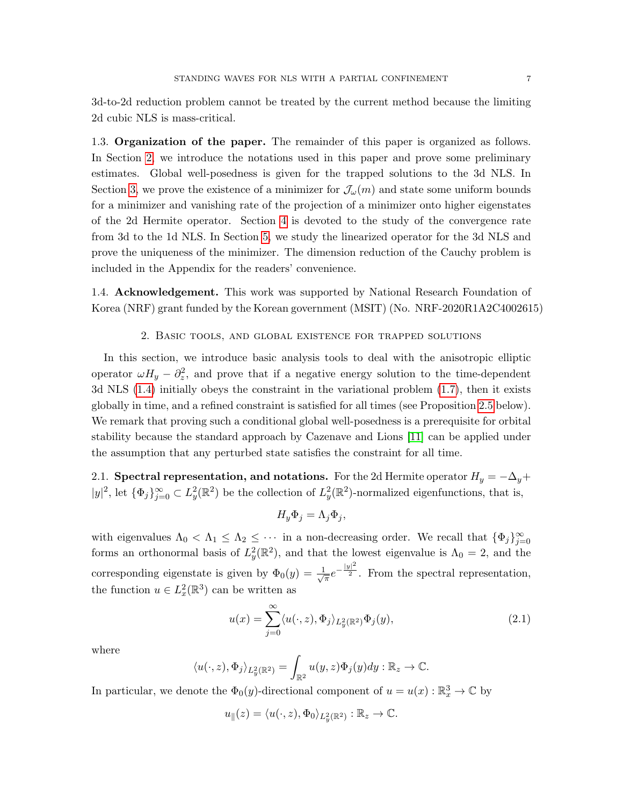3d-to-2d reduction problem cannot be treated by the current method because the limiting 2d cubic NLS is mass-critical.

1.3. Organization of the paper. The remainder of this paper is organized as follows. In Section [2,](#page-6-0) we introduce the notations used in this paper and prove some preliminary estimates. Global well-posedness is given for the trapped solutions to the 3d NLS. In Section [3,](#page-9-1) we prove the existence of a minimizer for  $\mathcal{J}_{\omega}(m)$  and state some uniform bounds for a minimizer and vanishing rate of the projection of a minimizer onto higher eigenstates of the 2d Hermite operator. Section [4](#page-15-0) is devoted to the study of the convergence rate from 3d to the 1d NLS. In Section [5,](#page-17-2) we study the linearized operator for the 3d NLS and prove the uniqueness of the minimizer. The dimension reduction of the Cauchy problem is included in the Appendix for the readers' convenience.

1.4. Acknowledgement. This work was supported by National Research Foundation of Korea (NRF) grant funded by the Korean government (MSIT) (No. NRF-2020R1A2C4002615)

## 2. Basic tools, and global existence for trapped solutions

<span id="page-6-0"></span>In this section, we introduce basic analysis tools to deal with the anisotropic elliptic operator  $\omega H_y - \partial_z^2$ , and prove that if a negative energy solution to the time-dependent 3d NLS [\(1.4\)](#page-2-0) initially obeys the constraint in the variational problem [\(1.7\)](#page-3-0), then it exists globally in time, and a refined constraint is satisfied for all times (see Proposition [2.5](#page-9-0) below). We remark that proving such a conditional global well-posedness is a prerequisite for orbital stability because the standard approach by Cazenave and Lions [\[11\]](#page-24-14) can be applied under the assumption that any perturbed state satisfies the constraint for all time.

2.1. Spectral representation, and notations. For the 2d Hermite operator  $H_y = -\Delta_y +$  $|y|^2$ , let  $\{\Phi_j\}_{j=0}^{\infty} \subset L_y^2(\mathbb{R}^2)$  be the collection of  $L_y^2(\mathbb{R}^2)$ -normalized eigenfunctions, that is,

$$
H_y \Phi_j = \Lambda_j \Phi_j,
$$

with eigenvalues  $\Lambda_0 < \Lambda_1 \leq \Lambda_2 \leq \cdots$  in a non-decreasing order. We recall that  $\{\Phi_j\}_{j=0}^{\infty}$ forms an orthonormal basis of  $L_y^2(\mathbb{R}^2)$ , and that the lowest eigenvalue is  $\Lambda_0 = 2$ , and the corresponding eigenstate is given by  $\Phi_0(y) = \frac{1}{\sqrt{2}}$  $=\pi e^{-\frac{|y|^2}{2}}$ . From the spectral representation, the function  $u \in L_x^2(\mathbb{R}^3)$  can be written as

<span id="page-6-1"></span>
$$
u(x) = \sum_{j=0}^{\infty} \langle u(\cdot, z), \Phi_j \rangle_{L_y^2(\mathbb{R}^2)} \Phi_j(y), \tag{2.1}
$$

where

$$
\langle u(\cdot,z),\Phi_j\rangle_{L_y^2(\mathbb{R}^2)}=\int_{\mathbb{R}^2}u(y,z)\Phi_j(y)dy:\mathbb{R}_z\to\mathbb{C}.
$$

In particular, we denote the  $\Phi_0(y)$ -directional component of  $u = u(x) : \mathbb{R}^3_x \to \mathbb{C}$  by

$$
u_\parallel(z)=\langle u(\cdot,z),\Phi_0\rangle_{L^2_y(\mathbb{R}^2)}:\mathbb{R}_z\to\mathbb{C}.
$$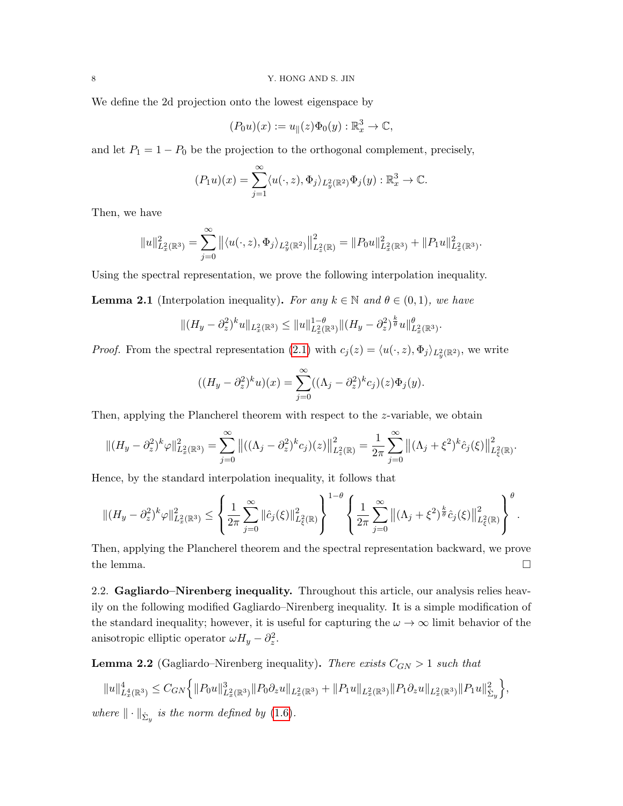We define the 2d projection onto the lowest eigenspace by

$$
(P_0u)(x) := u_{\parallel}(z)\Phi_0(y) : \mathbb{R}^3_x \to \mathbb{C},
$$

and let  $P_1 = 1 - P_0$  be the projection to the orthogonal complement, precisely,

$$
(P_1u)(x) = \sum_{j=1}^{\infty} \langle u(\cdot, z), \Phi_j \rangle_{L_y^2(\mathbb{R}^2)} \Phi_j(y) : \mathbb{R}^3_x \to \mathbb{C}.
$$

Then, we have

$$
\|u\|_{L^2_x(\mathbb{R}^3)}^2=\sum_{j=0}^\infty \big\|\langle u(\cdot,z),\Phi_j\rangle_{L^2_y(\mathbb{R}^2)}\big\|_{L^2_z(\mathbb{R})}^2=\|P_0u\|_{L^2_x(\mathbb{R}^3)}^2+\|P_1u\|_{L^2_x(\mathbb{R}^3)}^2.
$$

Using the spectral representation, we prove the following interpolation inequality.

<span id="page-7-1"></span>**Lemma 2.1** (Interpolation inequality). For any  $k \in \mathbb{N}$  and  $\theta \in (0,1)$ , we have

$$
||(H_y - \partial_z^2)^k u||_{L_x^2(\mathbb{R}^3)} \le ||u||_{L_x^2(\mathbb{R}^3)}^{1-\theta} ||(H_y - \partial_z^2)^{\frac{k}{\theta}} u||_{L_x^2(\mathbb{R}^3)}^{\theta}.
$$

*Proof.* From the spectral representation [\(2.1\)](#page-6-1) with  $c_j(z) = \langle u(\cdot, z), \Phi_j \rangle_{L_y^2(\mathbb{R}^2)}$ , we write

$$
((H_y - \partial_z^2)^k u)(x) = \sum_{j=0}^{\infty} ((\Lambda_j - \partial_z^2)^k c_j)(z) \Phi_j(y).
$$

Then, applying the Plancherel theorem with respect to the z-variable, we obtain

$$
\|(H_y - \partial_z^2)^k \varphi\|_{L_x^2(\mathbb{R}^3)}^2 = \sum_{j=0}^{\infty} \|((\Lambda_j - \partial_z^2)^k c_j)(z)\|_{L_z^2(\mathbb{R})}^2 = \frac{1}{2\pi} \sum_{j=0}^{\infty} \|(\Lambda_j + \xi^2)^k \hat{c}_j(\xi)\|_{L_{\xi}^2(\mathbb{R})}^2.
$$

Hence, by the standard interpolation inequality, it follows that

$$
\|(H_y - \partial_z^2)^k \varphi\|_{L_x^2(\mathbb{R}^3)}^2 \le \left\{\frac{1}{2\pi} \sum_{j=0}^\infty \|\hat{c}_j(\xi)\|_{L_\xi^2(\mathbb{R})}^2\right\}^{1-\theta} \left\{\frac{1}{2\pi} \sum_{j=0}^\infty \left\|(\Lambda_j + \xi^2)^{\frac{k}{\theta}} \hat{c}_j(\xi)\right\|_{L_\xi^2(\mathbb{R})}^2\right\}^\theta.
$$

Then, applying the Plancherel theorem and the spectral representation backward, we prove the lemma.  $\square$ 

2.2. Gagliardo–Nirenberg inequality. Throughout this article, our analysis relies heavily on the following modified Gagliardo–Nirenberg inequality. It is a simple modification of the standard inequality; however, it is useful for capturing the  $\omega \to \infty$  limit behavior of the anisotropic elliptic operator  $\omega H_y - \partial_z^2$ .

<span id="page-7-0"></span>**Lemma 2.2** (Gagliardo–Nirenberg inequality). There exists  $C_{GN} > 1$  such that

$$
||u||_{L_x^4(\mathbb{R}^3)}^4 \leq C_{GN} \Big\{ ||P_0u||_{L_x^2(\mathbb{R}^3)}^3 ||P_0\partial_z u||_{L_x^2(\mathbb{R}^3)} + ||P_1u||_{L_x^2(\mathbb{R}^3)} ||P_1\partial_z u||_{L_x^2(\mathbb{R}^3)} ||P_1u||_{\dot{\Sigma}_y}^2 \Big\},\
$$

where  $\|\cdot\|_{\dot{\Sigma}_y}$  is the norm defined by [\(1.6\)](#page-2-1).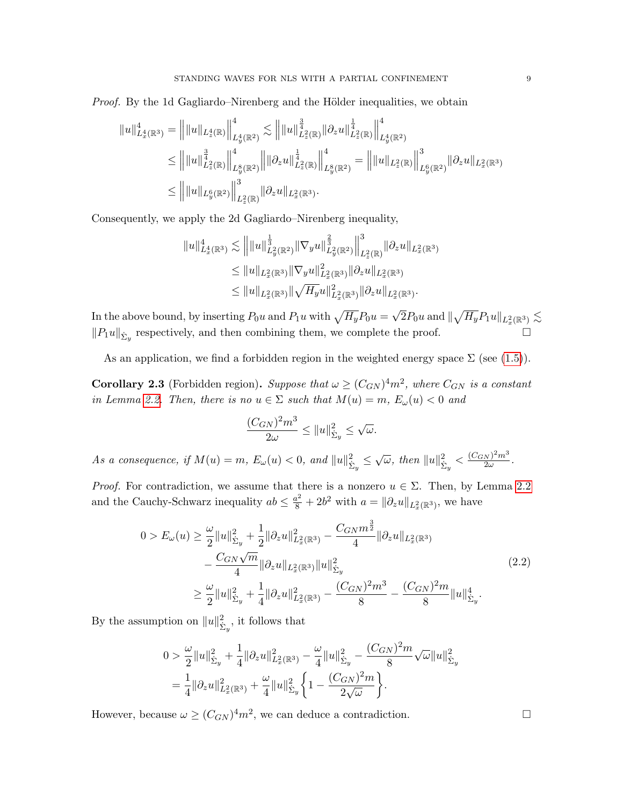*Proof.* By the 1d Gagliardo–Nirenberg and the Hölder inequalities, we obtain

$$
\|u\|_{L_x^4(\mathbb{R}^3)}^4 = \left\| \|u\|_{L_x^4(\mathbb{R})} \right\|_{L_y^4(\mathbb{R}^2)}^4 \lesssim \| \|u\|_{L_z^2(\mathbb{R})}^{\frac{3}{4}} \|\partial_z u\|_{L_z^2(\mathbb{R})}^{\frac{1}{4}} \Big\|_{L_y^4(\mathbb{R}^2)}^4
$$
  
\n
$$
\leq \| \|u\|_{L_z^2(\mathbb{R})}^{\frac{3}{4}} \Big\|_{L_y^8(\mathbb{R}^2)}^4 \Big\| \|\partial_z u\|_{L_z^2(\mathbb{R})}^{\frac{1}{4}} \Big\|_{L_y^8(\mathbb{R}^2)}^4 = \| \|u\|_{L_z^2(\mathbb{R})} \Big\|_{L_y^6(\mathbb{R}^2)}^3 \|\partial_z u\|_{L_x^2(\mathbb{R}^3)}
$$
  
\n
$$
\leq \| \|u\|_{L_y^6(\mathbb{R}^2)} \Big\|_{L_z^2(\mathbb{R})}^3 \|\partial_z u\|_{L_x^2(\mathbb{R}^3)}.
$$

Consequently, we apply the 2d Gagliardo–Nirenberg inequality,

$$
\|u\|_{L_x^4(\mathbb{R}^3)}^4 \lesssim \| \|u\|_{L_x^2(\mathbb{R}^3)}^{\frac{1}{3}} \|\nabla_y u\|_{L_x^2(\mathbb{R}^2)}^{\frac{2}{3}} \big\|_{L_x^2(\mathbb{R})}^3 \|\partial_z u\|_{L_x^2(\mathbb{R}^3)} \leq \|u\|_{L_x^2(\mathbb{R}^3)} \|\nabla_y u\|_{L_x^2(\mathbb{R}^3)}^2 \|\partial_z u\|_{L_x^2(\mathbb{R}^3)} \leq \|u\|_{L_x^2(\mathbb{R}^3)} \|\sqrt{H_y} u\|_{L_x^2(\mathbb{R}^3)}^2 \|\partial_z u\|_{L_x^2(\mathbb{R}^3)}.
$$

In the above bound, by inserting  $P_0u$  and  $P_1u$  with  $\sqrt{H_y}P_0u =$ √  $\overline{2}P_0u$  and  $\|\sqrt{H_y}P_1u\|_{L^2_x(\mathbb{R}^3)}\lesssim$  $||P_1u||_{\dot{\Sigma}_y}$  respectively, and then combining them, we complete the proof.

As an application, we find a forbidden region in the weighted energy space  $\Sigma$  (see [\(1.5\)](#page-2-2)).

<span id="page-8-0"></span>**Corollary 2.3** (Forbidden region). Suppose that  $\omega \ge (C_{GN})^4 m^2$ , where  $C_{GN}$  is a constant in Lemma [2.2.](#page-7-0) Then, there is no  $u \in \Sigma$  such that  $M(u) = m$ ,  $E_{\omega}(u) < 0$  and

$$
\frac{(C_{GN})^2 m^3}{2\omega} \le ||u||_{\dot{\Sigma}_y}^2 \le \sqrt{\omega}.
$$

As a consequence, if  $M(u) = m$ ,  $E_{\omega}(u) < 0$ , and  $||u||_{\dot{\Sigma}_{y}}^{2} \leq \sqrt{\omega}$ , then  $||u||_{\dot{\Sigma}_{y}}^{2} < \frac{(C_{GN})^{2}m^{3}}{2\omega}$  $\frac{N}{2\omega}$ .

*Proof.* For contradiction, we assume that there is a nonzero  $u \in \Sigma$ . Then, by Lemma [2.2](#page-7-0) and the Cauchy-Schwarz inequality  $ab \leq \frac{a^2}{8} + 2b^2$  with  $a = ||\partial_z u||_{L_x^2(\mathbb{R}^3)}$ , we have

<span id="page-8-1"></span>
$$
0 > E_{\omega}(u) \geq \frac{\omega}{2} ||u||_{\dot{\Sigma}_{y}}^{2} + \frac{1}{2} ||\partial_{z}u||_{L_{x}^{2}(\mathbb{R}^{3})}^{2} - \frac{C_{GN}m^{\frac{3}{2}}}{4} ||\partial_{z}u||_{L_{x}^{2}(\mathbb{R}^{3})} - \frac{C_{GN}\sqrt{m}}{4} ||\partial_{z}u||_{L_{x}^{2}(\mathbb{R}^{3})} ||u||_{\dot{\Sigma}_{y}}^{2}
$$
(2.2)  

$$
\geq \frac{\omega}{2} ||u||_{\dot{\Sigma}_{y}}^{2} + \frac{1}{4} ||\partial_{z}u||_{L_{x}^{2}(\mathbb{R}^{3})}^{2} - \frac{(C_{GN})^{2}m^{3}}{8} - \frac{(C_{GN})^{2}m}{8} ||u||_{\dot{\Sigma}_{y}}^{4}.
$$

By the assumption on  $||u||_{\dot{\Sigma}_y}^2$ , it follows that

$$
0 > \frac{\omega}{2} ||u||_{\Sigma_y}^2 + \frac{1}{4} ||\partial_z u||_{L_x^2(\mathbb{R}^3)}^2 - \frac{\omega}{4} ||u||_{\Sigma_y}^2 - \frac{(C_{GN})^2 m}{8} \sqrt{\omega} ||u||_{\Sigma_y}^2
$$
  
=  $\frac{1}{4} ||\partial_z u||_{L_x^2(\mathbb{R}^3)}^2 + \frac{\omega}{4} ||u||_{\Sigma_y}^2 \left\{ 1 - \frac{(C_{GN})^2 m}{2 \sqrt{\omega}} \right\}.$ 

However, because  $\omega \ge (C_{GN})^4 m^2$ , we can deduce a contradiction.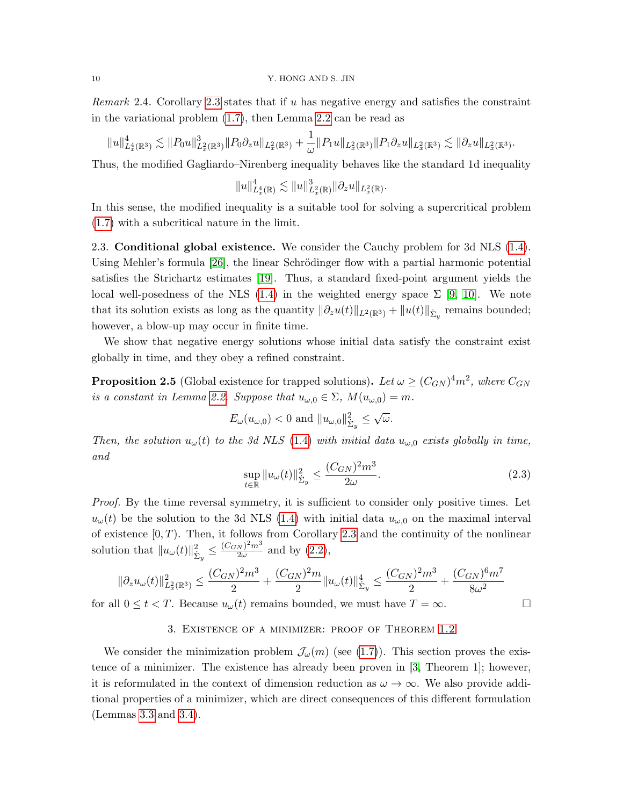*Remark* 2.4. Corollary [2.3](#page-8-0) states that if u has negative energy and satisfies the constraint in the variational problem [\(1.7\)](#page-3-0), then Lemma [2.2](#page-7-0) can be read as

$$
||u||_{L_x^4(\mathbb{R}^3)}^4 \lesssim ||P_0u||_{L_x^2(\mathbb{R}^3)}^3 ||P_0\partial_z u||_{L_x^2(\mathbb{R}^3)} + \frac{1}{\omega} ||P_1u||_{L_x^2(\mathbb{R}^3)} ||P_1\partial_z u||_{L_x^2(\mathbb{R}^3)} \lesssim ||\partial_z u||_{L_x^2(\mathbb{R}^3)}.
$$

Thus, the modified Gagliardo–Nirenberg inequality behaves like the standard 1d inequality

$$
||u||_{L_x^4(\mathbb{R})}^4 \lesssim ||u||_{L_x^2(\mathbb{R})}^3 ||\partial_z u||_{L_x^2(\mathbb{R})}.
$$

In this sense, the modified inequality is a suitable tool for solving a supercritical problem [\(1.7\)](#page-3-0) with a subcritical nature in the limit.

2.3. Conditional global existence. We consider the Cauchy problem for 3d NLS [\(1.4\)](#page-2-0). Using Mehler's formula [\[26\]](#page-25-12), the linear Schrödinger flow with a partial harmonic potential satisfies the Strichartz estimates [\[19\]](#page-25-13). Thus, a standard fixed-point argument yields the local well-posedness of the NLS [\(1.4\)](#page-2-0) in the weighted energy space  $\Sigma$  [\[9,](#page-24-12) [10\]](#page-24-13). We note that its solution exists as long as the quantity  $\|\partial_z u(t)\|_{L^2(\mathbb{R}^3)} + \|u(t)\|_{\dot{\Sigma}_y}$  remains bounded; however, a blow-up may occur in finite time.

We show that negative energy solutions whose initial data satisfy the constraint exist globally in time, and they obey a refined constraint.

<span id="page-9-0"></span>**Proposition 2.5** (Global existence for trapped solutions). Let  $\omega \ge (C_{GN})^4 m^2$ , where  $C_{GN}$ is a constant in Lemma [2.2.](#page-7-0) Suppose that  $u_{\omega,0} \in \Sigma$ ,  $M(u_{\omega,0}) = m$ .

$$
E_{\omega}(u_{\omega,0}) < 0
$$
 and  $||u_{\omega,0}||_{\dot{\Sigma}_y}^2 \leq \sqrt{\omega}$ .

Then, the solution  $u_{\omega}(t)$  to the 3d NLS [\(1.4\)](#page-2-0) with initial data  $u_{\omega,0}$  exists globally in time, and

<span id="page-9-2"></span>
$$
\sup_{t \in \mathbb{R}} \|u_{\omega}(t)\|_{\dot{\Sigma}_y}^2 \le \frac{(C_{GN})^2 m^3}{2\omega}.
$$
\n(2.3)

Proof. By the time reversal symmetry, it is sufficient to consider only positive times. Let  $u_{\omega}(t)$  be the solution to the 3d NLS [\(1.4\)](#page-2-0) with initial data  $u_{\omega,0}$  on the maximal interval of existence  $[0, T)$ . Then, it follows from Corollary [2.3](#page-8-0) and the continuity of the nonlinear solution that  $||u_{\omega}(t)||_{\dot{\Sigma}_{y}}^{2} \leq \frac{(C_{GN})^{2}m^{3}}{2\omega}$  $\frac{N}{2\omega}$  and by  $(2.2)$ ,

$$
\|\partial_z u_\omega(t)\|_{L_x^2(\mathbb{R}^3)}^2 \le \frac{(C_{GN})^2 m^3}{2} + \frac{(C_{GN})^2 m}{2} \|u_\omega(t)\|_{\dot{\Sigma}_y}^4 \le \frac{(C_{GN})^2 m^3}{2} + \frac{(C_{GN})^6 m^7}{8\omega^2}
$$
  
for all  $0 \le t < T$ . Because  $u_\omega(t)$  remains bounded, we must have  $T = \infty$ .

# 3. Existence of a minimizer: proof of Theorem [1.2](#page-3-6)

<span id="page-9-1"></span>We consider the minimization problem  $\mathcal{J}_{\omega}(m)$  (see [\(1.7\)](#page-3-0)). This section proves the existence of a minimizer. The existence has already been proven in [\[3,](#page-24-0) Theorem 1]; however, it is reformulated in the context of dimension reduction as  $\omega \to \infty$ . We also provide additional properties of a minimizer, which are direct consequences of this different formulation (Lemmas [3.3](#page-13-1) and [3.4\)](#page-13-0).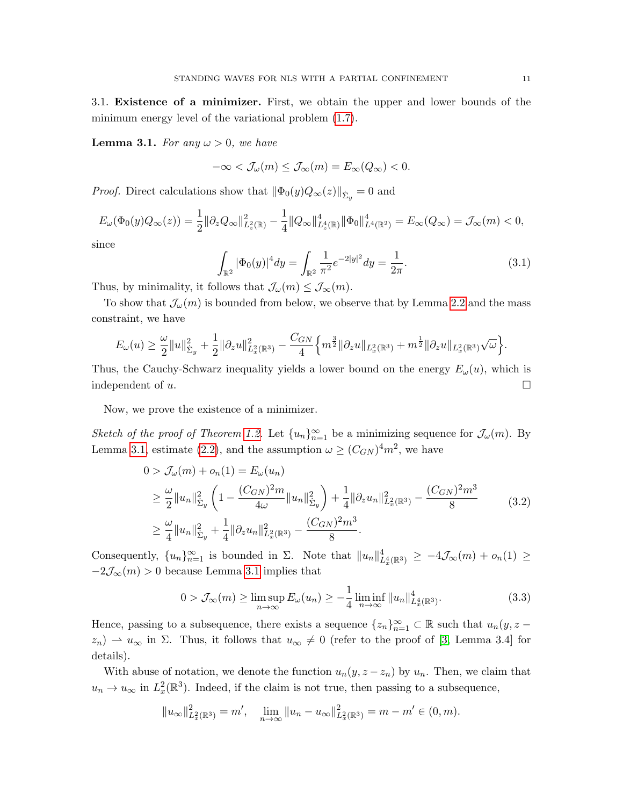3.1. Existence of a minimizer. First, we obtain the upper and lower bounds of the minimum energy level of the variational problem [\(1.7\)](#page-3-0).

<span id="page-10-0"></span>**Lemma 3.1.** For any  $\omega > 0$ , we have

$$
-\infty < \mathcal{J}_{\omega}(m) \le \mathcal{J}_{\infty}(m) = E_{\infty}(Q_{\infty}) < 0.
$$

*Proof.* Direct calculations show that  $\|\Phi_0(y)Q_\infty(z)\|_{\dot{\Sigma}_y}=0$  and

$$
E_{\omega}(\Phi_0(y)Q_{\infty}(z)) = \frac{1}{2} \|\partial_z Q_{\infty}\|_{L_z^2(\mathbb{R})}^2 - \frac{1}{4} \|Q_{\infty}\|_{L_z^4(\mathbb{R})}^4 \|\Phi_0\|_{L^4(\mathbb{R}^2)}^4 = E_{\infty}(Q_{\infty}) = \mathcal{J}_{\infty}(m) < 0,
$$

since

<span id="page-10-3"></span>
$$
\int_{\mathbb{R}^2} |\Phi_0(y)|^4 dy = \int_{\mathbb{R}^2} \frac{1}{\pi^2} e^{-2|y|^2} dy = \frac{1}{2\pi}.
$$
 (3.1)

Thus, by minimality, it follows that  $\mathcal{J}_{\omega}(m) \leq \mathcal{J}_{\infty}(m)$ .

To show that  $\mathcal{J}_{\omega}(m)$  is bounded from below, we observe that by Lemma [2.2](#page-7-0) and the mass constraint, we have

$$
E_{\omega}(u) \geq \frac{\omega}{2}||u||_{\Sigma_y}^2 + \frac{1}{2}||\partial_z u||_{L_x^2(\mathbb{R}^3)}^2 - \frac{C_{GN}}{4} \Big\{ m^{\frac{3}{2}}||\partial_z u||_{L_x^2(\mathbb{R}^3)} + m^{\frac{1}{2}}||\partial_z u||_{L_x^2(\mathbb{R}^3)}\sqrt{\omega} \Big\}.
$$

Thus, the Cauchy-Schwarz inequality yields a lower bound on the energy  $E_{\omega}(u)$ , which is independent of u.

Now, we prove the existence of a minimizer.

Sketch of the proof of Theorem [1.2.](#page-3-6) Let  $\{u_n\}_{n=1}^{\infty}$  be a minimizing sequence for  $\mathcal{J}_{\omega}(m)$ . By Lemma [3.1,](#page-10-0) estimate [\(2.2\)](#page-8-1), and the assumption  $\omega \ge (C_{GN})^4 m^2$ , we have

<span id="page-10-2"></span>
$$
0 > \mathcal{J}_{\omega}(m) + o_n(1) = E_{\omega}(u_n)
$$
  
\n
$$
\geq \frac{\omega}{2} ||u_n||_{\Sigma_y}^2 \left( 1 - \frac{(C_{GN})^2 m}{4\omega} ||u_n||_{\Sigma_y}^2 \right) + \frac{1}{4} ||\partial_z u_n||_{L_x^2(\mathbb{R}^3)}^2 - \frac{(C_{GN})^2 m^3}{8}
$$
  
\n
$$
\geq \frac{\omega}{4} ||u_n||_{\Sigma_y}^2 + \frac{1}{4} ||\partial_z u_n||_{L_x^2(\mathbb{R}^3)}^2 - \frac{(C_{GN})^2 m^3}{8}.
$$
\n(3.2)

Consequently,  ${u_n}_{n=1}^{\infty}$  is bounded in  $\Sigma$ . Note that  $||u_n||_{L_x^4(\mathbb{R}^3)}^4 \geq -4\mathcal{J}_{\infty}(m) + o_n(1) \geq$  $-2\mathcal{J}_{\infty}(m) > 0$  because Lemma [3.1](#page-10-0) implies that

<span id="page-10-1"></span>
$$
0 > \mathcal{J}_{\infty}(m) \ge \limsup_{n \to \infty} E_{\omega}(u_n) \ge -\frac{1}{4} \liminf_{n \to \infty} ||u_n||_{L_x^4(\mathbb{R}^3)}^4.
$$
 (3.3)

Hence, passing to a subsequence, there exists a sequence  $\{z_n\}_{n=1}^{\infty} \subset \mathbb{R}$  such that  $u_n(y, z$  $z_n$ )  $\rightarrow u_{\infty}$  in  $\Sigma$ . Thus, it follows that  $u_{\infty} \neq 0$  (refer to the proof of [\[3,](#page-24-0) Lemma 3.4] for details).

With abuse of notation, we denote the function  $u_n(y, z - z_n)$  by  $u_n$ . Then, we claim that  $u_n \to u_\infty$  in  $L^2_x(\mathbb{R}^3)$ . Indeed, if the claim is not true, then passing to a subsequence,

$$
||u_{\infty}||_{L_x^2(\mathbb{R}^3)}^2 = m', \quad \lim_{n \to \infty} ||u_n - u_{\infty}||_{L_x^2(\mathbb{R}^3)}^2 = m - m' \in (0, m).
$$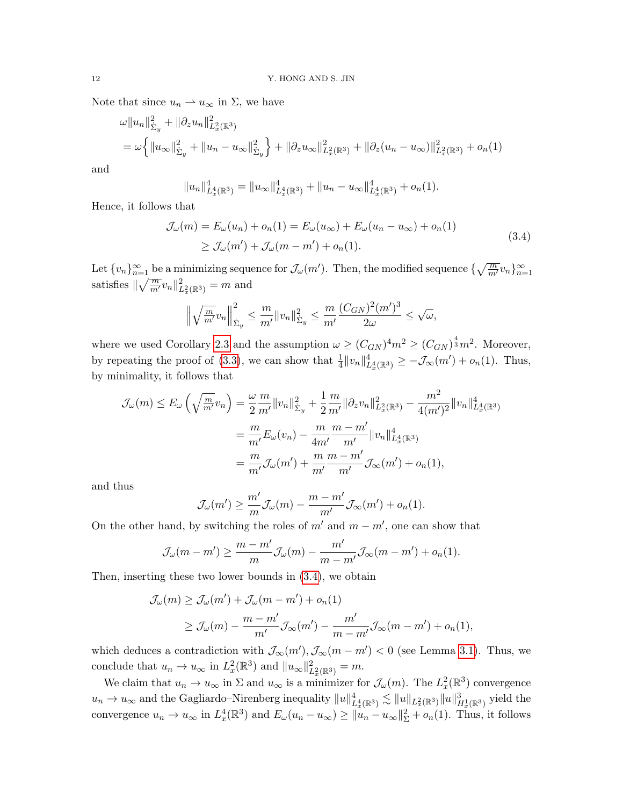Note that since  $u_n \rightharpoonup u_\infty$  in  $\Sigma$ , we have

$$
\omega \|u_n\|_{\tilde{\Sigma}_y}^2 + \|\partial_z u_n\|_{L_x^2(\mathbb{R}^3)}^2
$$
  
=  $\omega \left\{ \|u_\infty\|_{\tilde{\Sigma}_y}^2 + \|u_n - u_\infty\|_{\tilde{\Sigma}_y}^2 \right\} + \|\partial_z u_\infty\|_{L_x^2(\mathbb{R}^3)}^2 + \|\partial_z (u_n - u_\infty)\|_{L_x^2(\mathbb{R}^3)}^2 + o_n(1)$ 

and

$$
||u_n||_{L_x^4(\mathbb{R}^3)}^4 = ||u_\infty||_{L_x^4(\mathbb{R}^3)}^4 + ||u_n - u_\infty||_{L_x^4(\mathbb{R}^3)}^4 + o_n(1).
$$

Hence, it follows that

<span id="page-11-0"></span>
$$
\mathcal{J}_{\omega}(m) = E_{\omega}(u_n) + o_n(1) = E_{\omega}(u_{\infty}) + E_{\omega}(u_n - u_{\infty}) + o_n(1)
$$
  
\n
$$
\geq \mathcal{J}_{\omega}(m') + \mathcal{J}_{\omega}(m - m') + o_n(1).
$$
\n(3.4)

Let  $\{v_n\}_{n=1}^{\infty}$  be a minimizing sequence for  $\mathcal{J}_{\omega}(m')$ . Then, the modified sequence  $\{\sqrt{\frac{m}{m'}}v_n\}_{n=1}^{\infty}$ satisfies  $\|\sqrt{\frac{m}{m'}}v_n\|_{L_x^2(\mathbb{R}^3)}^2 = m$  and

$$
\left\|\sqrt{\frac{m}{m'}}v_n\right\|_{\dot{\Sigma}_y}^2 \leq \frac{m}{m'}\|v_n\|_{\dot{\Sigma}_y}^2 \leq \frac{m}{m'}\frac{(C_{GN})^2(m')^3}{2\omega} \leq \sqrt{\omega},
$$

where we used Corollary [2.3](#page-8-0) and the assumption  $\omega \ge (C_{GN})^4 m^2 \ge (C_{GN})^{\frac{4}{3}} m^2$ . Moreover, by repeating the proof of [\(3.3\)](#page-10-1), we can show that  $\frac{1}{4}||v_n||_{L_x^4(\mathbb{R}^3)}^4 \geq -\mathcal{J}_{\infty}(m') + o_n(1)$ . Thus, by minimality, it follows that

$$
\mathcal{J}_{\omega}(m) \le E_{\omega} \left( \sqrt{\frac{m}{m'}} v_n \right) = \frac{\omega}{2} \frac{m}{m'} \|v_n\|_{\Sigma_y}^2 + \frac{1}{2} \frac{m}{m'} \|\partial_z v_n\|_{L_x^2(\mathbb{R}^3)}^2 - \frac{m^2}{4(m')^2} \|v_n\|_{L_x^4(\mathbb{R}^3)}^4
$$

$$
= \frac{m}{m'} E_{\omega}(v_n) - \frac{m}{4m'} \frac{m - m'}{m'} \|v_n\|_{L_x^4(\mathbb{R}^3)}^4
$$

$$
= \frac{m}{m'} \mathcal{J}_{\omega}(m') + \frac{m}{m'} \frac{m - m'}{m'} \mathcal{J}_{\infty}(m') + o_n(1),
$$

and thus

$$
\mathcal{J}_{\omega}(m') \geq \frac{m'}{m} \mathcal{J}_{\omega}(m) - \frac{m - m'}{m'} \mathcal{J}_{\infty}(m') + o_n(1).
$$

On the other hand, by switching the roles of  $m'$  and  $m - m'$ , one can show that

$$
\mathcal{J}_{\omega}(m-m') \ge \frac{m-m'}{m} \mathcal{J}_{\omega}(m) - \frac{m'}{m-m'} \mathcal{J}_{\infty}(m-m') + o_n(1).
$$

Then, inserting these two lower bounds in [\(3.4\)](#page-11-0), we obtain

$$
\mathcal{J}_{\omega}(m) \ge \mathcal{J}_{\omega}(m') + \mathcal{J}_{\omega}(m - m') + o_n(1)
$$
  
 
$$
\ge \mathcal{J}_{\omega}(m) - \frac{m - m'}{m'} \mathcal{J}_{\infty}(m') - \frac{m'}{m - m'} \mathcal{J}_{\infty}(m - m') + o_n(1),
$$

which deduces a contradiction with  $\mathcal{J}_{\infty}(m'), \mathcal{J}_{\infty}(m - m') < 0$  (see Lemma [3.1\)](#page-10-0). Thus, we conclude that  $u_n \to u_\infty$  in  $L^2_x(\mathbb{R}^3)$  and  $||u_\infty||^2_{L^2_x(\mathbb{R}^3)} = m$ .

We claim that  $u_n \to u_\infty$  in  $\Sigma$  and  $u_\infty$  is a minimizer for  $\mathcal{J}_\omega(m)$ . The  $L^2_x(\mathbb{R}^3)$  convergence  $u_n \to u_\infty$  and the Gagliardo–Nirenberg inequality  $||u||_{L_x^4(\mathbb{R}^3)}^4 \lesssim ||u||_{L_x^2(\mathbb{R}^3)} ||u||_{H_x^1(\mathbb{R}^3)}^3$  yield the convergence  $u_n \to u_\infty$  in  $L_x^4(\mathbb{R}^3)$  and  $E_\omega(u_n - u_\infty) \ge ||u_n - u_\infty||^2 + o_n(1)$ . Thus, it follows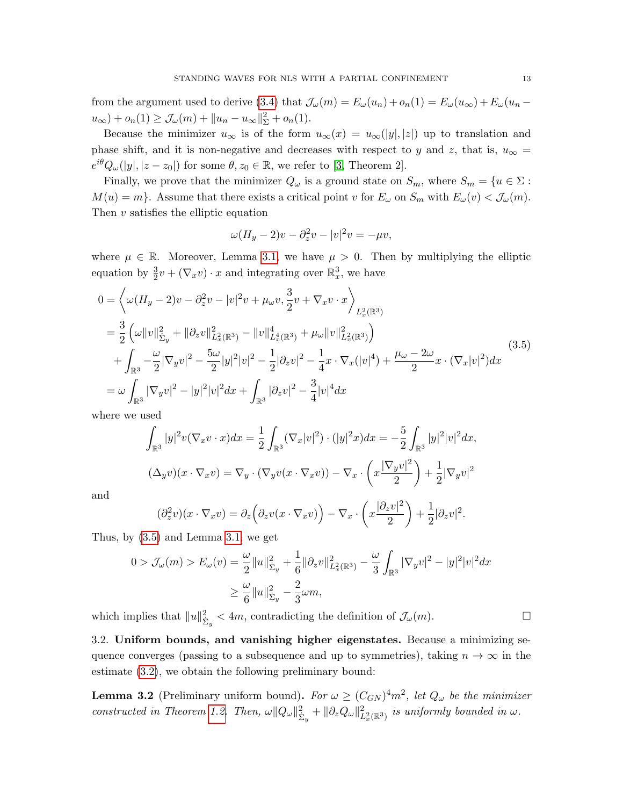from the argument used to derive [\(3.4\)](#page-11-0) that  $\mathcal{J}_{\omega}(m) = E_{\omega}(u_n) + o_n(1) = E_{\omega}(u_{\infty}) + E_{\omega}(u_n$  $u_{\infty}$ ) +  $o_n(1) \geq \mathcal{J}_{\omega}(m) + ||u_n - u_{\infty}||_{\Sigma}^2 + o_n(1)$ .

Because the minimizer  $u_{\infty}$  is of the form  $u_{\infty}(x) = u_{\infty}(|y|, |z|)$  up to translation and phase shift, and it is non-negative and decreases with respect to y and z, that is,  $u_{\infty} =$  $e^{i\theta}Q_{\omega}(|y|,|z-z_0|)$  for some  $\theta, z_0 \in \mathbb{R}$ , we refer to [\[3,](#page-24-0) Theorem 2].

Finally, we prove that the minimizer  $Q_{\omega}$  is a ground state on  $S_m$ , where  $S_m = \{u \in \Sigma :$  $M(u) = m$ . Assume that there exists a critical point v for  $E_{\omega}$  on  $S_m$  with  $E_{\omega}(v) < \mathcal{J}_{\omega}(m)$ . Then  $v$  satisfies the elliptic equation

$$
\omega(H_y - 2)v - \partial_z^2 v - |v|^2 v = -\mu v,
$$

where  $\mu \in \mathbb{R}$ . Moreover, Lemma [3.1,](#page-10-0) we have  $\mu > 0$ . Then by multiplying the elliptic equation by  $\frac{3}{2}v + (\nabla_x v) \cdot x$  and integrating over  $\mathbb{R}^3_x$ , we have

<span id="page-12-1"></span>
$$
0 = \left\langle \omega(H_y - 2)v - \partial_z^2 v - |v|^2 v + \mu_\omega v, \frac{3}{2}v + \nabla_x v \cdot x \right\rangle_{L_x^2(\mathbb{R}^3)}
$$
  
\n
$$
= \frac{3}{2} \left( \omega \|v\|_{\Sigma_y}^2 + \|\partial_z v\|_{L_x^2(\mathbb{R}^3)}^2 - \|v\|_{L_x^4(\mathbb{R}^3)}^4 + \mu_\omega \|v\|_{L_x^2(\mathbb{R}^3)}^2 \right)
$$
  
\n
$$
+ \int_{\mathbb{R}^3} -\frac{\omega}{2} |\nabla_y v|^2 - \frac{5\omega}{2} |y|^2 |v|^2 - \frac{1}{2} |\partial_z v|^2 - \frac{1}{4} x \cdot \nabla_x (|v|^4) + \frac{\mu_\omega - 2\omega}{2} x \cdot (\nabla_x |v|^2) dx
$$
  
\n
$$
= \omega \int_{\mathbb{R}^3} |\nabla_y v|^2 - |y|^2 |v|^2 dx + \int_{\mathbb{R}^3} |\partial_z v|^2 - \frac{3}{4} |v|^4 dx
$$
 (3.5)

where we used

$$
\int_{\mathbb{R}^3} |y|^2 v (\nabla_x v \cdot x) dx = \frac{1}{2} \int_{\mathbb{R}^3} (\nabla_x |v|^2) \cdot (|y|^2 x) dx = -\frac{5}{2} \int_{\mathbb{R}^3} |y|^2 |v|^2 dx,
$$
  

$$
(\Delta_y v)(x \cdot \nabla_x v) = \nabla_y \cdot (\nabla_y v(x \cdot \nabla_x v)) - \nabla_x \cdot \left(x \frac{|\nabla_y v|^2}{2}\right) + \frac{1}{2} |\nabla_y v|^2
$$

and

$$
(\partial_z^2 v)(x \cdot \nabla_x v) = \partial_z \left( \partial_z v(x \cdot \nabla_x v) \right) - \nabla_x \cdot \left( x \frac{|\partial_z v|^2}{2} \right) + \frac{1}{2} |\partial_z v|^2.
$$

Thus, by  $(3.5)$  and Lemma [3.1,](#page-10-0) we get

$$
0 > \mathcal{J}_{\omega}(m) > E_{\omega}(v) = \frac{\omega}{2} ||u||_{\Sigma_y}^2 + \frac{1}{6} ||\partial_z v||_{L_x^2(\mathbb{R}^3)}^2 - \frac{\omega}{3} \int_{\mathbb{R}^3} |\nabla_y v|^2 - |y|^2 |v|^2 dx
$$
  

$$
\geq \frac{\omega}{6} ||u||_{\Sigma_y}^2 - \frac{2}{3} \omega m,
$$

which implies that  $||u||_{\dot{\Sigma}_y}^2 < 4m$ , contradicting the definition of  $\mathcal{J}_{\omega}(m)$ .

3.2. Uniform bounds, and vanishing higher eigenstates. Because a minimizing sequence converges (passing to a subsequence and up to symmetries), taking  $n \to \infty$  in the estimate [\(3.2\)](#page-10-2), we obtain the following preliminary bound:

<span id="page-12-0"></span>**Lemma 3.2** (Preliminary uniform bound). For  $\omega \ge (C_{GN})^4 m^2$ , let  $Q_{\omega}$  be the minimizer constructed in Theorem [1.2.](#page-3-6) Then,  $\omega \|Q_{\omega}\|_{\Sigma_y}^2 + \|\partial_z Q_{\omega}\|_{L_x^2(\mathbb{R}^3)}^2$  is uniformly bounded in  $\omega$ .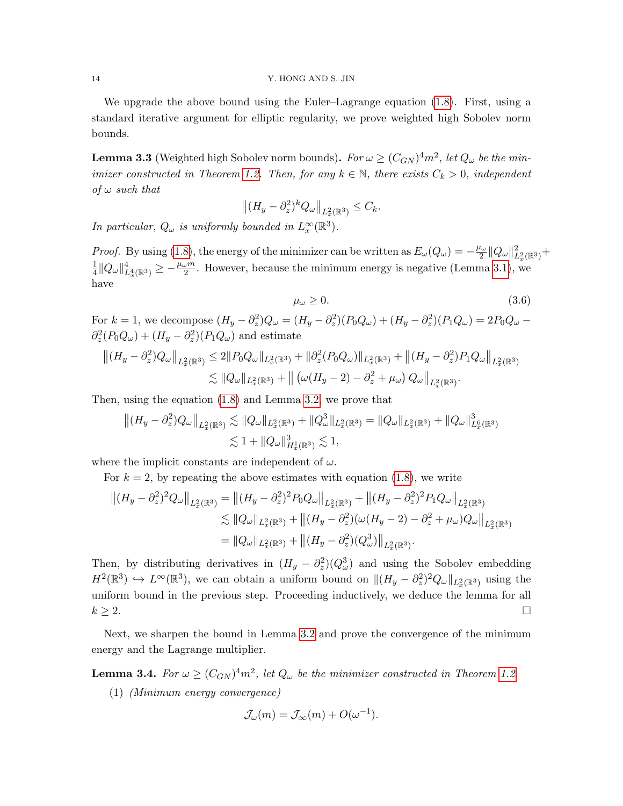We upgrade the above bound using the Euler–Lagrange equation [\(1.8\)](#page-3-3). First, using a standard iterative argument for elliptic regularity, we prove weighted high Sobolev norm bounds.

<span id="page-13-1"></span>**Lemma 3.3** (Weighted high Sobolev norm bounds). For  $\omega \ge (C_{GN})^4 m^2$ , let  $Q_{\omega}$  be the min-imizer constructed in Theorem [1.2.](#page-3-6) Then, for any  $k \in \mathbb{N}$ , there exists  $C_k > 0$ , independent of  $\omega$  such that

$$
\left\| (H_y - \partial_z^2)^k Q_\omega \right\|_{L_x^2(\mathbb{R}^3)} \leq C_k.
$$

In particular,  $Q_{\omega}$  is uniformly bounded in  $L_x^{\infty}(\mathbb{R}^3)$ .

*Proof.* By using [\(1.8\)](#page-3-3), the energy of the minimizer can be written as  $E_{\omega}(Q_{\omega}) = -\frac{\mu_{\omega}}{2}$  $\frac{\iota_{\omega}}{2} \| Q_{\omega} \|_{L^2_x(\mathbb{R}^3)}^2 +$ 1  $\frac{1}{4}||Q_\omega||_{L_x^4(\mathbb{R}^3)}^4 \geq -\frac{\mu_\omega m}{2}$ . However, because the minimum energy is negative (Lemma [3.1\)](#page-10-0), we have

<span id="page-13-2"></span>
$$
\mu_{\omega} \ge 0. \tag{3.6}
$$

For  $k = 1$ , we decompose  $(H_y - \partial_z^2)Q_\omega = (H_y - \partial_z^2)(P_0Q_\omega) + (H_y - \partial_z^2)(P_1Q_\omega) = 2P_0Q_\omega \partial_z^2(P_0Q_\omega) + (H_y - \partial_z^2)(P_1Q_\omega)$  and estimate

$$
\left\| (H_y - \partial_z^2) Q_\omega \right\|_{L_x^2(\mathbb{R}^3)} \leq 2 \| P_0 Q_\omega \|_{L_x^2(\mathbb{R}^3)} + \| \partial_z^2 (P_0 Q_\omega) \|_{L_x^2(\mathbb{R}^3)} + \left\| (H_y - \partial_z^2) P_1 Q_\omega \right\|_{L_x^2(\mathbb{R}^3)} \leq \| Q_\omega \|_{L_x^2(\mathbb{R}^3)} + \left\| \left( \omega (H_y - 2) - \partial_z^2 + \mu_\omega \right) Q_\omega \right\|_{L_x^2(\mathbb{R}^3)}.
$$

Then, using the equation [\(1.8\)](#page-3-3) and Lemma [3.2,](#page-12-0) we prove that

$$
||(H_y - \partial_z^2)Q_\omega||_{L_x^2(\mathbb{R}^3)} \lesssim ||Q_\omega||_{L_x^2(\mathbb{R}^3)} + ||Q_\omega^3||_{L_x^2(\mathbb{R}^3)} = ||Q_\omega||_{L_x^2(\mathbb{R}^3)} + ||Q_\omega||_{L_x^6(\mathbb{R}^3)}^3
$$
  

$$
\lesssim 1 + ||Q_\omega||_{H_x^1(\mathbb{R}^3)}^3 \lesssim 1,
$$

where the implicit constants are independent of  $\omega$ .

For  $k = 2$ , by repeating the above estimates with equation [\(1.8\)](#page-3-3), we write

$$
\begin{split} \left\| (H_y - \partial_z^2)^2 Q_\omega \right\|_{L_x^2(\mathbb{R}^3)} &= \left\| (H_y - \partial_z^2)^2 P_0 Q_\omega \right\|_{L_x^2(\mathbb{R}^3)} + \left\| (H_y - \partial_z^2)^2 P_1 Q_\omega \right\|_{L_x^2(\mathbb{R}^3)} \\ &\lesssim \| Q_\omega \|_{L_x^2(\mathbb{R}^3)} + \left\| (H_y - \partial_z^2)(\omega (H_y - 2) - \partial_z^2 + \mu_\omega) Q_\omega \right\|_{L_x^2(\mathbb{R}^3)} \\ &= \| Q_\omega \|_{L_x^2(\mathbb{R}^3)} + \left\| (H_y - \partial_z^2)(Q_\omega^3) \right\|_{L_x^2(\mathbb{R}^3)}. \end{split}
$$

Then, by distributing derivatives in  $(H_y - \partial_z^2)(Q_\omega^3)$  and using the Sobolev embedding  $H^2(\mathbb{R}^3) \hookrightarrow L^\infty(\mathbb{R}^3)$ , we can obtain a uniform bound on  $\|(H_y - \partial_z^2)^2 Q_\omega\|_{L_x^2(\mathbb{R}^3)}$  using the uniform bound in the previous step. Proceeding inductively, we deduce the lemma for all  $k \geq 2$ .

Next, we sharpen the bound in Lemma [3.2](#page-12-0) and prove the convergence of the minimum energy and the Lagrange multiplier.

<span id="page-13-0"></span>**Lemma 3.4.** For  $\omega \ge (C_{GN})^4 m^2$ , let  $Q_{\omega}$  be the minimizer constructed in Theorem [1.2.](#page-3-6)

(1) (Minimum energy convergence)

$$
\mathcal{J}_{\omega}(m) = \mathcal{J}_{\infty}(m) + O(\omega^{-1}).
$$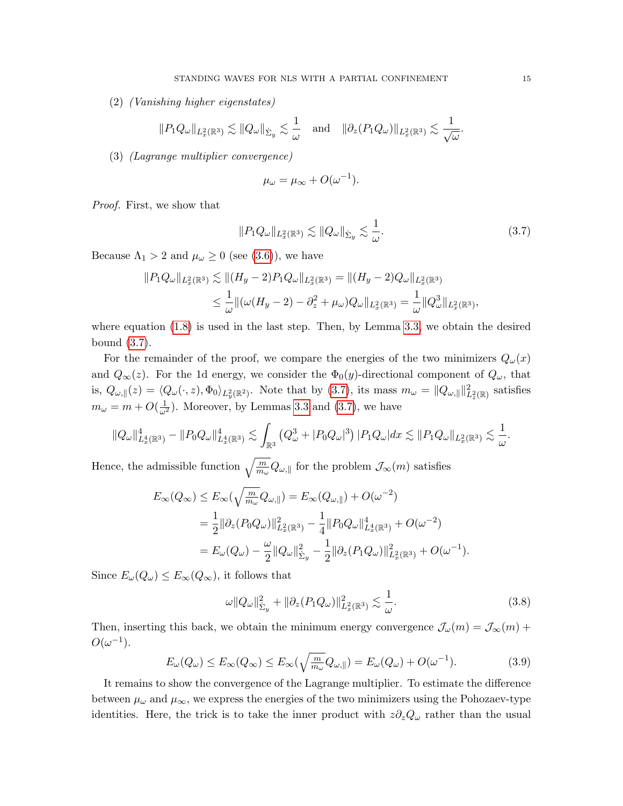(2) (Vanishing higher eigenstates)

$$
||P_1 Q_\omega||_{L^2_x(\mathbb{R}^3)} \lesssim ||Q_\omega||_{\dot{\Sigma}_y} \lesssim \frac{1}{\omega} \quad \text{and} \quad ||\partial_z (P_1 Q_\omega)||_{L^2_x(\mathbb{R}^3)} \lesssim \frac{1}{\sqrt{\omega}}.
$$

(3) (Lagrange multiplier convergence)

$$
\mu_{\omega} = \mu_{\infty} + O(\omega^{-1}).
$$

Proof. First, we show that

<span id="page-14-0"></span>
$$
||P_1 Q_\omega||_{L^2_x(\mathbb{R}^3)} \lesssim ||Q_\omega||_{\dot{\Sigma}_y} \lesssim \frac{1}{\omega}.
$$
\n(3.7)

Because  $\Lambda_1 > 2$  and  $\mu_\omega \geq 0$  (see [\(3.6\)](#page-13-2)), we have

$$
||P_1 Q_\omega||_{L_x^2(\mathbb{R}^3)} \lesssim ||(H_y - 2)P_1 Q_\omega||_{L_x^2(\mathbb{R}^3)} = ||(H_y - 2)Q_\omega||_{L_x^2(\mathbb{R}^3)}
$$
  

$$
\leq \frac{1}{\omega} ||(\omega(H_y - 2) - \partial_z^2 + \mu_\omega)Q_\omega||_{L_x^2(\mathbb{R}^3)} = \frac{1}{\omega} ||Q_\omega^3||_{L_x^2(\mathbb{R}^3)}
$$

where equation  $(1.8)$  is used in the last step. Then, by Lemma [3.3,](#page-13-1) we obtain the desired bound [\(3.7\)](#page-14-0).

For the remainder of the proof, we compare the energies of the two minimizers  $Q_{\omega}(x)$ and  $Q_{\infty}(z)$ . For the 1d energy, we consider the  $\Phi_0(y)$ -directional component of  $Q_{\omega}$ , that is,  $Q_{\omega,\parallel}(z) = \langle Q_{\omega}(\cdot, z), \Phi_0 \rangle_{L_y^2(\mathbb{R}^2)}$ . Note that by [\(3.7\)](#page-14-0), its mass  $m_{\omega} = ||Q_{\omega,\parallel}||_{L_z^2(\mathbb{R})}^2$  satisfies  $m_{\omega} = m + O(\frac{1}{\omega^2})$ . Moreover, by Lemmas [3.3](#page-13-1) and [\(3.7\)](#page-14-0), we have

$$
\|Q_{\omega}\|_{L_x^4(\mathbb{R}^3)}^4 - \|P_0 Q_{\omega}\|_{L_x^4(\mathbb{R}^3)}^4 \lesssim \int_{\mathbb{R}^3} \left(Q_{\omega}^3 + |P_0 Q_{\omega}|^3\right) |P_1 Q_{\omega}| dx \lesssim \|P_1 Q_{\omega}\|_{L_x^2(\mathbb{R}^3)} \lesssim \frac{1}{\omega}.
$$

Hence, the admissible function  $\sqrt{\frac{m}{m_\omega}} Q_{\omega, \parallel}$  for the problem  $\mathcal{J}_{\infty}(m)$  satisfies

$$
E_{\infty}(Q_{\infty}) \leq E_{\infty}(\sqrt{\frac{m}{m_{\omega}}}Q_{\omega,\parallel}) = E_{\infty}(Q_{\omega,\parallel}) + O(\omega^{-2})
$$
  
=  $\frac{1}{2} ||\partial_z(P_0Q_{\omega})||_{L_x^2(\mathbb{R}^3)}^2 - \frac{1}{4} ||P_0Q_{\omega}||_{L_x^4(\mathbb{R}^3)}^4 + O(\omega^{-2})$   
=  $E_{\omega}(Q_{\omega}) - \frac{\omega}{2} ||Q_{\omega}||_{\Sigma_y}^2 - \frac{1}{2} ||\partial_z(P_1Q_{\omega})||_{L_x^2(\mathbb{R}^3)}^2 + O(\omega^{-1}).$ 

Since  $E_{\omega}(Q_{\omega}) \leq E_{\infty}(Q_{\infty})$ , it follows that

<span id="page-14-1"></span>
$$
\omega \|Q_{\omega}\|_{\dot{\Sigma}_y}^2 + \|\partial_z (P_1 Q_{\omega})\|_{L_x^2(\mathbb{R}^3)}^2 \lesssim \frac{1}{\omega}.
$$
\n(3.8)

Then, inserting this back, we obtain the minimum energy convergence  $\mathcal{J}_{\omega}(m) = \mathcal{J}_{\infty}(m) +$  $O(\omega^{-1}).$ 

<span id="page-14-2"></span>
$$
E_{\omega}(Q_{\omega}) \le E_{\infty}(Q_{\infty}) \le E_{\infty}(\sqrt{\frac{m}{m_{\omega}}}Q_{\omega,\parallel}) = E_{\omega}(Q_{\omega}) + O(\omega^{-1}). \tag{3.9}
$$

It remains to show the convergence of the Lagrange multiplier. To estimate the difference between  $\mu_{\omega}$  and  $\mu_{\infty}$ , we express the energies of the two minimizers using the Pohozaev-type identities. Here, the trick is to take the inner product with  $z\partial_zQ_\omega$  rather than the usual

,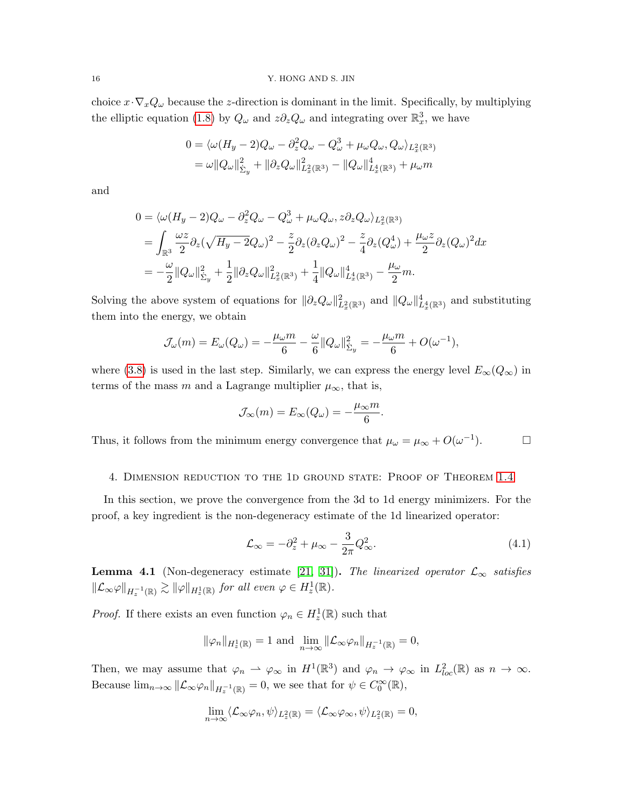choice  $x \cdot \nabla_x Q_\omega$  because the z-direction is dominant in the limit. Specifically, by multiplying the elliptic equation [\(1.8\)](#page-3-3) by  $Q_{\omega}$  and  $z\partial_z Q_{\omega}$  and integrating over  $\mathbb{R}^3_x$ , we have

$$
0 = \langle \omega (H_y - 2)Q_\omega - \partial_z^2 Q_\omega - Q_\omega^3 + \mu_\omega Q_\omega, Q_\omega \rangle_{L_x^2(\mathbb{R}^3)}
$$
  
= 
$$
\omega ||Q_\omega||_{\Sigma_y}^2 + ||\partial_z Q_\omega||_{L_x^2(\mathbb{R}^3)}^2 - ||Q_\omega||_{L_x^4(\mathbb{R}^3)}^4 + \mu_\omega m
$$

and

$$
0 = \langle \omega (H_y - 2)Q_\omega - \partial_z^2 Q_\omega - Q_\omega^3 + \mu_\omega Q_\omega, z \partial_z Q_\omega \rangle_{L_x^2(\mathbb{R}^3)}
$$
  
= 
$$
\int_{\mathbb{R}^3} \frac{\omega z}{2} \partial_z (\sqrt{H_y - 2}Q_\omega)^2 - \frac{z}{2} \partial_z (\partial_z Q_\omega)^2 - \frac{z}{4} \partial_z (Q_\omega^4) + \frac{\mu_\omega z}{2} \partial_z (Q_\omega)^2 dx
$$
  
= 
$$
-\frac{\omega}{2} ||Q_\omega||_{\Sigma_y}^2 + \frac{1}{2} ||\partial_z Q_\omega||_{L_x^2(\mathbb{R}^3)}^2 + \frac{1}{4} ||Q_\omega||_{L_x^4(\mathbb{R}^3)}^4 - \frac{\mu_\omega}{2} m.
$$

Solving the above system of equations for  $\|\partial_z Q_\omega\|_{L_x^2(\mathbb{R}^3)}^2$  and  $\|Q_\omega\|_{L_x^4(\mathbb{R}^3)}^4$  and substituting them into the energy, we obtain

$$
\mathcal{J}_{\omega}(m) = E_{\omega}(Q_{\omega}) = -\frac{\mu_{\omega}m}{6} - \frac{\omega}{6} \|Q_{\omega}\|_{\dot{\Sigma}_{y}}^{2} = -\frac{\mu_{\omega}m}{6} + O(\omega^{-1}),
$$

where [\(3.8\)](#page-14-1) is used in the last step. Similarly, we can express the energy level  $E_{\infty}(Q_{\infty})$  in terms of the mass m and a Lagrange multiplier  $\mu_{\infty}$ , that is,

$$
\mathcal{J}_{\infty}(m) = E_{\infty}(Q_{\omega}) = -\frac{\mu_{\infty}m}{6}.
$$

Thus, it follows from the minimum energy convergence that  $\mu_{\omega} = \mu_{\infty} + O(\omega^{-1})$ .

## <span id="page-15-0"></span>4. Dimension reduction to the 1d ground state: Proof of Theorem [1.4](#page-4-1)

In this section, we prove the convergence from the 3d to 1d energy minimizers. For the proof, a key ingredient is the non-degeneracy estimate of the 1d linearized operator:

<span id="page-15-2"></span>
$$
\mathcal{L}_{\infty} = -\partial_z^2 + \mu_{\infty} - \frac{3}{2\pi} Q_{\infty}^2.
$$
\n(4.1)

<span id="page-15-1"></span>**Lemma 4.1** (Non-degeneracy estimate [\[21,](#page-25-9) [31\]](#page-25-14)). The linearized operator  $\mathcal{L}_{\infty}$  satisfies  $\|\mathcal{L}_{\infty}\varphi\|_{H^{-1}_z(\mathbb{R})} \gtrsim \|\varphi\|_{H^1_z(\mathbb{R})}$  for all even  $\varphi \in H^1_z(\mathbb{R})$ .

*Proof.* If there exists an even function  $\varphi_n \in H^1_{z}(\mathbb{R})$  such that

$$
\|\varphi_n\|_{H^1_z(\mathbb{R})}=1 \text{ and } \lim_{n\to\infty}\|\mathcal{L}_{\infty}\varphi_n\|_{H^{-1}_z(\mathbb{R})}=0,
$$

Then, we may assume that  $\varphi_n \rightharpoonup \varphi_\infty$  in  $H^1(\mathbb{R}^3)$  and  $\varphi_n \rightharpoonup \varphi_\infty$  in  $L^2_{loc}(\mathbb{R})$  as  $n \to \infty$ . Because  $\lim_{n\to\infty} ||\mathcal{L}_{\infty}\varphi_n||_{H_{x}^{-1}(\mathbb{R})} = 0$ , we see that for  $\psi \in C_0^{\infty}(\mathbb{R})$ ,

$$
\lim_{n\to\infty}\langle\mathcal{L}_{\infty}\varphi_n,\psi\rangle_{L^2_{z}(\mathbb{R})}=\langle\mathcal{L}_{\infty}\varphi_{\infty},\psi\rangle_{L^2_{z}(\mathbb{R})}=0,
$$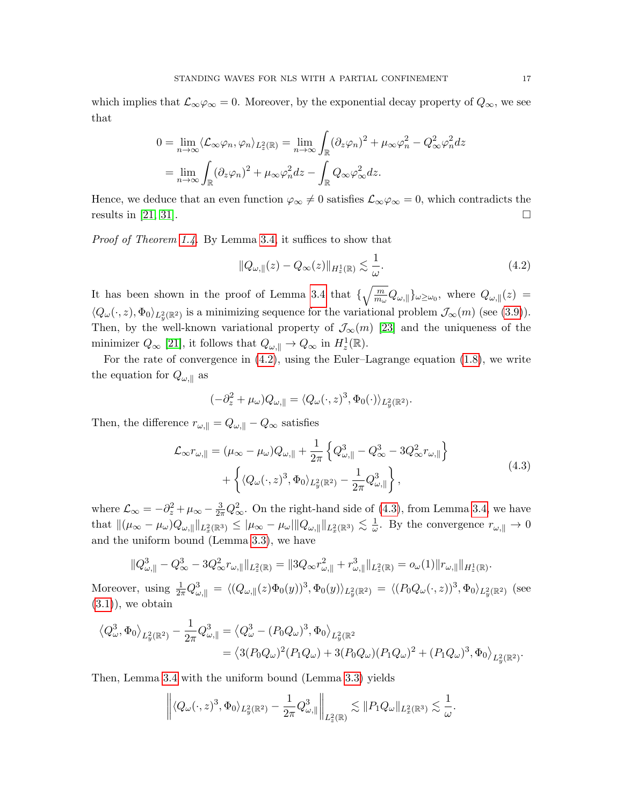which implies that  $\mathcal{L}_{\infty}\varphi_{\infty}=0$ . Moreover, by the exponential decay property of  $Q_{\infty}$ , we see that

$$
0 = \lim_{n \to \infty} \langle \mathcal{L}_{\infty} \varphi_n, \varphi_n \rangle_{L_z^2(\mathbb{R})} = \lim_{n \to \infty} \int_{\mathbb{R}} (\partial_z \varphi_n)^2 + \mu_{\infty} \varphi_n^2 - Q_{\infty}^2 \varphi_n^2 dz
$$
  
= 
$$
\lim_{n \to \infty} \int_{\mathbb{R}} (\partial_z \varphi_n)^2 + \mu_{\infty} \varphi_n^2 dz - \int_{\mathbb{R}} Q_{\infty} \varphi_{\infty}^2 dz.
$$

Hence, we deduce that an even function  $\varphi_{\infty} \neq 0$  satisfies  $\mathcal{L}_{\infty} \varphi_{\infty} = 0$ , which contradicts the results in [\[21,](#page-25-9) [31\]](#page-25-14).

Proof of Theorem [1.4.](#page-4-1) By Lemma [3.4,](#page-13-0) it suffices to show that

<span id="page-16-0"></span>
$$
||Q_{\omega,\parallel}(z) - Q_{\infty}(z)||_{H_z^1(\mathbb{R})} \lesssim \frac{1}{\omega}.
$$
\n(4.2)

It has been shown in the proof of Lemma [3.4](#page-13-0) that  $\{\sqrt{\frac{m}{m_{\omega}}}Q_{\omega,\parallel}\}_{{\omega}\ge{\omega}_0}$ , where  $Q_{\omega,\parallel}(z)$  $\langle Q_\omega(\cdot, z), \Phi_0 \rangle_{L^2_y(\mathbb{R}^2)}$  is a minimizing sequence for the variational problem  $\mathcal{J}_{\infty}(m)$  (see [\(3.9\)](#page-14-2)). Then, by the well-known variational property of  $\mathcal{J}_{\infty}(m)$  [\[23\]](#page-25-15) and the uniqueness of the minimizer  $Q_{\infty}$  [\[21\]](#page-25-9), it follows that  $Q_{\omega,\parallel} \to Q_{\infty}$  in  $H_z^1(\mathbb{R})$ .

For the rate of convergence in [\(4.2\)](#page-16-0), using the Euler–Lagrange equation [\(1.8\)](#page-3-3), we write the equation for  $Q_{\omega,\parallel}$  as

$$
(-\partial_z^2 + \mu_\omega)Q_{\omega,\parallel} = \langle Q_\omega(\cdot,z)^3, \Phi_0(\cdot)\rangle_{L_y^2(\mathbb{R}^2)}.
$$

Then, the difference  $r_{\omega,\parallel} = Q_{\omega,\parallel} - Q_{\infty}$  satisfies

<span id="page-16-1"></span>
$$
\mathcal{L}_{\infty} r_{\omega, \parallel} = (\mu_{\infty} - \mu_{\omega}) Q_{\omega, \parallel} + \frac{1}{2\pi} \left\{ Q_{\omega, \parallel}^3 - Q_{\infty}^3 - 3Q_{\infty}^2 r_{\omega, \parallel} \right\} \n+ \left\{ \langle Q_{\omega}(\cdot, z)^3, \Phi_0 \rangle_{L_y^2(\mathbb{R}^2)} - \frac{1}{2\pi} Q_{\omega, \parallel}^3 \right\},
$$
\n(4.3)

where  $\mathcal{L}_{\infty} = -\partial_z^2 + \mu_{\infty} - \frac{3}{2\pi} Q_{\infty}^2$ . On the right-hand side of [\(4.3\)](#page-16-1), from Lemma [3.4,](#page-13-0) we have that  $\|(\mu_\infty - \mu_\omega)Q_{\omega,\parallel}\|_{L^2_x(\mathbb{R}^3)} \leq |\mu_\infty - \mu_\omega|\|Q_{\omega,\parallel}\|_{L^2_x(\mathbb{R}^3)} \lesssim \frac{1}{\omega}$  $\frac{1}{\omega}$ . By the convergence  $r_{\omega,\parallel} \to 0$ and the uniform bound (Lemma [3.3\)](#page-13-1), we have

$$
||Q^3_{\omega,||} - Q^3_{\infty} - 3Q^2_{\infty}r_{\omega,||}||_{L_z^2(\mathbb{R})} = ||3Q_{\infty}r_{\omega,||}^2 + r_{\omega,||}^3||_{L_z^2(\mathbb{R})} = o_{\omega}(1)||r_{\omega,||}||_{H_z^1(\mathbb{R})}.
$$

Moreover, using  $\frac{1}{2\pi}Q_{\omega,\parallel}^3 = \langle (Q_{\omega,\parallel}(z)\Phi_0(y))^3, \Phi_0(y) \rangle_{L_y^2(\mathbb{R}^2)} = \langle (P_0Q_{\omega}(\cdot,z))^3, \Phi_0 \rangle_{L_y^2(\mathbb{R}^2)}$  (see  $(3.1)$ , we obtain

$$
\begin{split} \left\langle Q_{\omega}^{3},\Phi_{0}\right\rangle_{L_{y}^{2}(\mathbb{R}^{2})} &- \frac{1}{2\pi}Q_{\omega,\parallel}^{3}=\left\langle Q_{\omega}^{3}-(P_{0}Q_{\omega})^{3},\Phi_{0}\right\rangle_{L_{y}^{2}(\mathbb{R}^{2})} \\ &=\left\langle 3(P_{0}Q_{\omega})^{2}(P_{1}Q_{\omega})+3(P_{0}Q_{\omega})(P_{1}Q_{\omega})^{2}+(P_{1}Q_{\omega})^{3},\Phi_{0}\right\rangle_{L_{y}^{2}(\mathbb{R}^{2})}. \end{split}
$$

Then, Lemma [3.4](#page-13-0) with the uniform bound (Lemma [3.3\)](#page-13-1) yields

$$
\left\| \langle Q_{\omega}(\cdot,z)^3,\Phi_0 \rangle_{L_y^2(\mathbb{R}^2)} - \frac{1}{2\pi} Q_{\omega,\parallel}^3 \right\|_{L_z^2(\mathbb{R})} \lesssim \|P_1 Q_{\omega}\|_{L_x^2(\mathbb{R}^3)} \lesssim \frac{1}{\omega}.
$$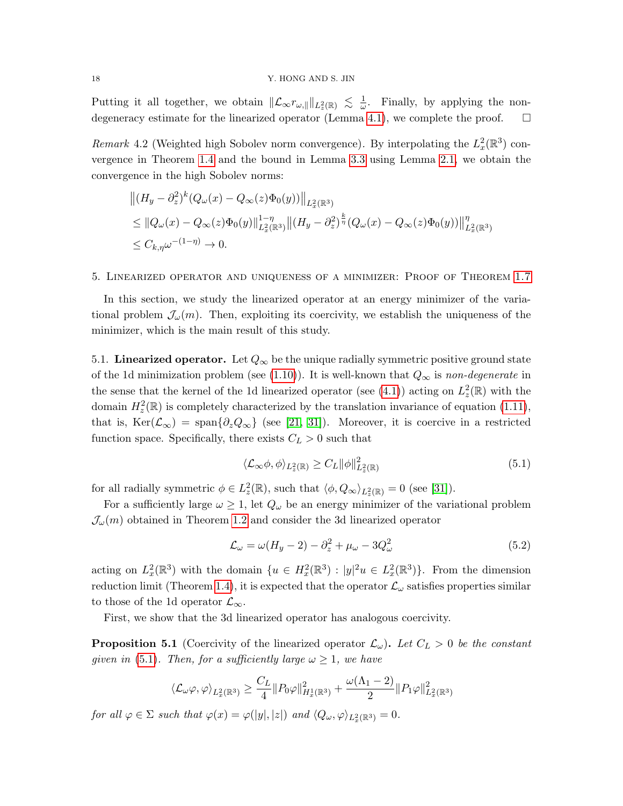## 18 Y. HONG AND S. JIN

Putting it all together, we obtain  $\|\mathcal{L}_{\infty}r_{\omega,\parallel}\|_{L^2_{z}(\mathbb{R})} \leq \frac{1}{\omega}$  $\frac{1}{\omega}$ . Finally, by applying the non-degeneracy estimate for the linearized operator (Lemma [4.1\)](#page-15-1), we complete the proof.  $\Box$ 

<span id="page-17-0"></span>Remark 4.2 (Weighted high Sobolev norm convergence). By interpolating the  $L_x^2(\mathbb{R}^3)$  convergence in Theorem [1.4](#page-4-1) and the bound in Lemma [3.3](#page-13-1) using Lemma [2.1,](#page-7-1) we obtain the convergence in the high Sobolev norms:

$$
\begin{aligned} &\left\| (H_y - \partial_z^2)^k (Q_\omega(x) - Q_\infty(z) \Phi_0(y)) \right\|_{L_x^2(\mathbb{R}^3)} \\ &\leq \| Q_\omega(x) - Q_\infty(z) \Phi_0(y) \|_{L_x^2(\mathbb{R}^3)}^{1-\eta} \left\| (H_y - \partial_z^2)^{\frac{k}{\eta}} (Q_\omega(x) - Q_\infty(z) \Phi_0(y)) \right\|_{L_x^2(\mathbb{R}^3)}^{\eta} \\ &\leq C_{k,\eta} \omega^{-(1-\eta)} \to 0. \end{aligned}
$$

<span id="page-17-2"></span>5. Linearized operator and uniqueness of a minimizer: Proof of Theorem [1.7](#page-4-2)

In this section, we study the linearized operator at an energy minimizer of the variational problem  $\mathcal{J}_{\omega}(m)$ . Then, exploiting its coercivity, we establish the uniqueness of the minimizer, which is the main result of this study.

5.1. Linearized operator. Let  $Q_{\infty}$  be the unique radially symmetric positive ground state of the 1d minimization problem (see [\(1.10\)](#page-4-3)). It is well-known that  $Q_{\infty}$  is non-degenerate in the sense that the kernel of the 1d linearized operator (see [\(4.1\)](#page-15-2)) acting on  $L_z^2(\mathbb{R})$  with the domain  $H_z^2(\mathbb{R})$  is completely characterized by the translation invariance of equation [\(1.11\)](#page-4-0), that is,  $\text{Ker}(\mathcal{L}_{\infty}) = \text{span}\{\partial_z Q_{\infty}\}\$  (see [\[21,](#page-25-9) [31\]](#page-25-14)). Moreover, it is coercive in a restricted function space. Specifically, there exists  $C_L > 0$  such that

<span id="page-17-3"></span>
$$
\langle \mathcal{L}_{\infty} \phi, \phi \rangle_{L_z^2(\mathbb{R})} \ge C_L \| \phi \|_{L_z^2(\mathbb{R})}^2 \tag{5.1}
$$

for all radially symmetric  $\phi \in L_z^2(\mathbb{R})$ , such that  $\langle \phi, Q_\infty \rangle_{L_z^2(\mathbb{R})} = 0$  (see [\[31\]](#page-25-14)).

For a sufficiently large  $\omega \geq 1$ , let  $Q_{\omega}$  be an energy minimizer of the variational problem  $\mathcal{J}_{\omega}(m)$  obtained in Theorem [1.2](#page-3-6) and consider the 3d linearized operator

$$
\mathcal{L}_{\omega} = \omega (H_y - 2) - \partial_z^2 + \mu_{\omega} - 3Q_{\omega}^2 \tag{5.2}
$$

acting on  $L_x^2(\mathbb{R}^3)$  with the domain  $\{u \in H_x^2(\mathbb{R}^3) : |y|^2 u \in L_x^2(\mathbb{R}^3)\}\$ . From the dimension reduction limit (Theorem [1.4\)](#page-4-1), it is expected that the operator  $\mathcal{L}_{\omega}$  satisfies properties similar to those of the 1d operator  $\mathcal{L}_{\infty}$ .

First, we show that the 3d linearized operator has analogous coercivity.

<span id="page-17-1"></span>**Proposition 5.1** (Coercivity of the linearized operator  $\mathcal{L}_{\omega}$ ). Let  $C_L > 0$  be the constant given in [\(5.1\)](#page-17-3). Then, for a sufficiently large  $\omega \geq 1$ , we have

$$
\langle \mathcal{L}_{\omega}\varphi, \varphi \rangle_{L_x^2(\mathbb{R}^3)} \ge \frac{C_L}{4} \|P_0\varphi\|_{H_x^1(\mathbb{R}^3)}^2 + \frac{\omega(\Lambda_1 - 2)}{2} \|P_1\varphi\|_{L_x^2(\mathbb{R}^3)}^2
$$

for all  $\varphi \in \Sigma$  such that  $\varphi(x) = \varphi(|y|, |z|)$  and  $\langle Q_{\omega}, \varphi \rangle_{L_x^2(\mathbb{R}^3)} = 0$ .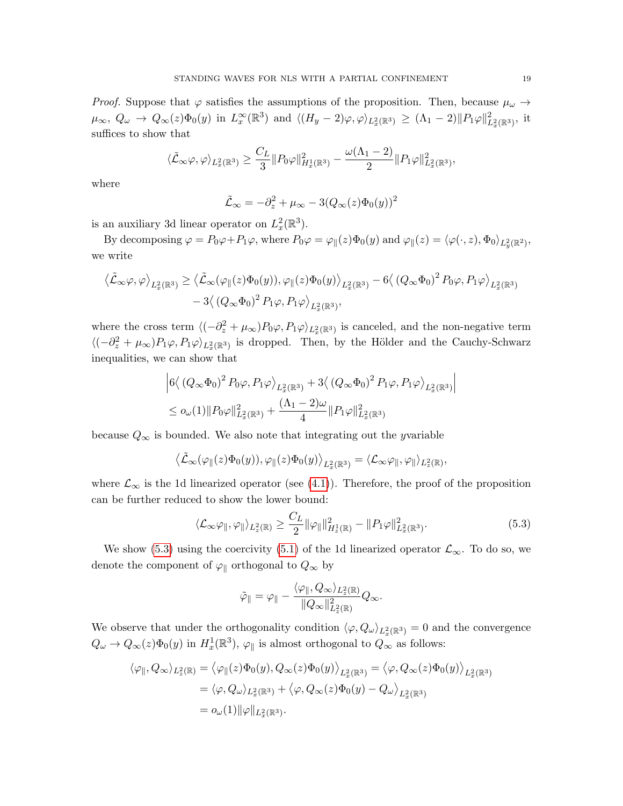*Proof.* Suppose that  $\varphi$  satisfies the assumptions of the proposition. Then, because  $\mu_{\omega} \to$  $\mu_{\infty}, Q_{\omega} \to Q_{\infty}(z)\Phi_0(y)$  in  $L_x^{\infty}(\mathbb{R}^3)$  and  $\langle (H_y - 2)\varphi, \varphi \rangle_{L_x^2(\mathbb{R}^3)} \geq (\Lambda_1 - 2) ||P_1\varphi||^2_{L_x^2(\mathbb{R}^3)}$ , it suffices to show that

$$
\langle \tilde{\mathcal{L}}_\infty \varphi, \varphi \rangle_{L^2_x(\mathbb{R}^3)} \geq \frac{C_L}{3} \|P_0 \varphi\|_{H^1_x(\mathbb{R}^3)}^2 - \frac{\omega(\Lambda_1 - 2)}{2} \|P_1 \varphi\|_{L^2_x(\mathbb{R}^3)}^2,
$$

where

$$
\tilde{\mathcal{L}}_{\infty} = -\partial_z^2 + \mu_{\infty} - 3(Q_{\infty}(z)\Phi_0(y))^2
$$

is an auxiliary 3d linear operator on  $L_x^2(\mathbb{R}^3)$ .

By decomposing  $\varphi = P_0 \varphi + P_1 \varphi$ , where  $P_0 \varphi = \varphi_{\parallel}(z) \Phi_0(y)$  and  $\varphi_{\parallel}(z) = \langle \varphi(\cdot, z), \Phi_0 \rangle_{L_y^2(\mathbb{R}^2)}$ , we write

$$
\langle \tilde{\mathcal{L}}_{\infty} \varphi, \varphi \rangle_{L_x^2(\mathbb{R}^3)} \geq \langle \tilde{\mathcal{L}}_{\infty} (\varphi_{\parallel}(z) \Phi_0(y)), \varphi_{\parallel}(z) \Phi_0(y) \rangle_{L_x^2(\mathbb{R}^3)} - 6 \langle (Q_{\infty} \Phi_0)^2 P_0 \varphi, P_1 \varphi \rangle_{L_x^2(\mathbb{R}^3)} - 3 \langle (Q_{\infty} \Phi_0)^2 P_1 \varphi, P_1 \varphi \rangle_{L_x^2(\mathbb{R}^3)},
$$

where the cross term  $\langle (-\partial_z^2 + \mu_\infty) P_0 \varphi, P_1 \varphi \rangle_{L_x^2(\mathbb{R}^3)}$  is canceled, and the non-negative term  $\langle (-\partial_z^2 + \mu_\infty) P_1 \varphi, P_1 \varphi \rangle_{L_x^2(\mathbb{R}^3)}$  is dropped. Then, by the Hölder and the Cauchy-Schwarz inequalities, we can show that

$$
\left|6\langle (Q_{\infty}\Phi_0)^2 P_0\varphi, P_1\varphi \rangle_{L_x^2(\mathbb{R}^3)} + 3\langle (Q_{\infty}\Phi_0)^2 P_1\varphi, P_1\varphi \rangle_{L_x^2(\mathbb{R}^3)}\right|
$$
  

$$
\leq o_{\omega}(1) \|P_0\varphi\|_{L_x^2(\mathbb{R}^3)}^2 + \frac{(\Lambda_1 - 2)\omega}{4} \|P_1\varphi\|_{L_x^2(\mathbb{R}^3)}^2
$$

because  $Q_{\infty}$  is bounded. We also note that integrating out the yvariable

$$
\langle \tilde{\mathcal{L}}_{\infty}(\varphi_{\parallel}(z)\Phi_{0}(y)), \varphi_{\parallel}(z)\Phi_{0}(y)\rangle_{L_{x}^{2}(\mathbb{R}^{3})} = \langle \mathcal{L}_{\infty}\varphi_{\parallel}, \varphi_{\parallel}\rangle_{L_{z}^{2}(\mathbb{R})},
$$

where  $\mathcal{L}_{\infty}$  is the 1d linearized operator (see [\(4.1\)](#page-15-2)). Therefore, the proof of the proposition can be further reduced to show the lower bound:

<span id="page-18-0"></span>
$$
\langle \mathcal{L}_{\infty} \varphi_{\parallel}, \varphi_{\parallel} \rangle_{L_z^2(\mathbb{R})} \ge \frac{C_L}{2} \|\varphi_{\parallel}\|_{H_z^1(\mathbb{R})}^2 - \|P_1 \varphi\|_{L_x^2(\mathbb{R}^3)}^2.
$$
\n(5.3)

We show [\(5.3\)](#page-18-0) using the coercivity [\(5.1\)](#page-17-3) of the 1d linearized operator  $\mathcal{L}_{\infty}$ . To do so, we denote the component of  $\varphi_{\parallel}$  orthogonal to  $Q_{\infty}$  by

$$
\tilde{\varphi}_{\parallel} = \varphi_{\parallel} - \frac{\langle \varphi_{\parallel}, Q_{\infty} \rangle_{L_z^2(\mathbb{R})}}{\|Q_{\infty}\|_{L_z^2(\mathbb{R})}^2} Q_{\infty}.
$$

We observe that under the orthogonality condition  $\langle \varphi, Q_{\omega} \rangle_{L_x^2(\mathbb{R}^3)} = 0$  and the convergence  $Q_{\omega} \to Q_{\infty}(z) \Phi_0(y)$  in  $H_x^1(\mathbb{R}^3)$ ,  $\varphi_{\parallel}$  is almost orthogonal to  $Q_{\infty}$  as follows:

$$
\langle \varphi_{\parallel}, Q_{\infty} \rangle_{L_z^2(\mathbb{R})} = \langle \varphi_{\parallel}(z) \Phi_0(y), Q_{\infty}(z) \Phi_0(y) \rangle_{L_x^2(\mathbb{R}^3)} = \langle \varphi, Q_{\infty}(z) \Phi_0(y) \rangle_{L_x^2(\mathbb{R}^3)}
$$
  
=  $\langle \varphi, Q_{\omega} \rangle_{L_x^2(\mathbb{R}^3)} + \langle \varphi, Q_{\infty}(z) \Phi_0(y) - Q_{\omega} \rangle_{L_x^2(\mathbb{R}^3)}$   
=  $o_{\omega}(1) ||\varphi||_{L_x^2(\mathbb{R}^3)}$ .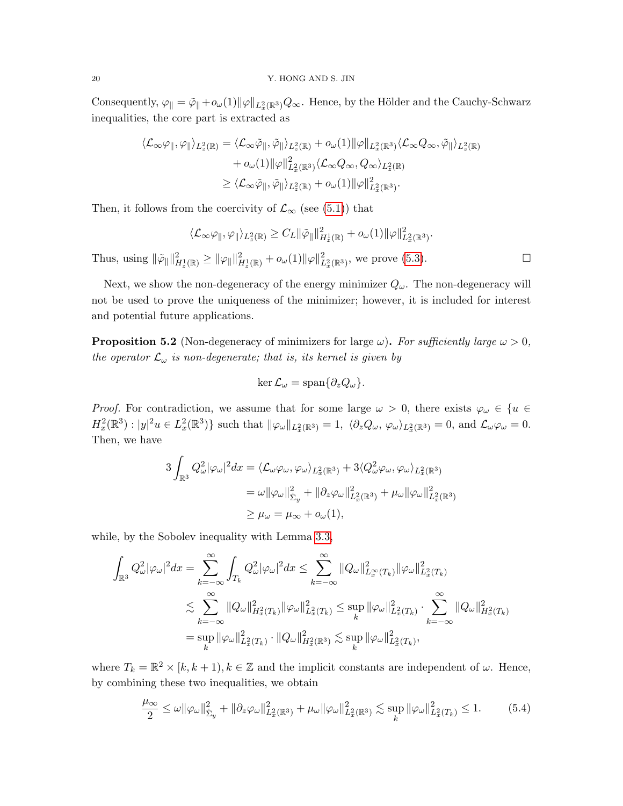Consequently,  $\varphi_{\parallel} = \tilde{\varphi}_{\parallel} + o_{\omega}(1) \|\varphi\|_{L_x^2(\mathbb{R}^3)} Q_{\infty}$ . Hence, by the Hölder and the Cauchy-Schwarz inequalities, the core part is extracted as

$$
\langle \mathcal{L}_{\infty} \varphi_{\parallel}, \varphi_{\parallel} \rangle_{L_z^2(\mathbb{R})} = \langle \mathcal{L}_{\infty} \tilde{\varphi}_{\parallel}, \tilde{\varphi}_{\parallel} \rangle_{L_z^2(\mathbb{R})} + o_{\omega}(1) \|\varphi\|_{L_x^2(\mathbb{R}^3)} \langle \mathcal{L}_{\infty} Q_{\infty}, \tilde{\varphi}_{\parallel} \rangle_{L_z^2(\mathbb{R})} + o_{\omega}(1) \|\varphi\|_{L_x^2(\mathbb{R}^3)}^2 \langle \mathcal{L}_{\infty} Q_{\infty}, Q_{\infty} \rangle_{L_z^2(\mathbb{R})} \geq \langle \mathcal{L}_{\infty} \tilde{\varphi}_{\parallel}, \tilde{\varphi}_{\parallel} \rangle_{L_z^2(\mathbb{R})} + o_{\omega}(1) \|\varphi\|_{L_x^2(\mathbb{R}^3)}^2.
$$

Then, it follows from the coercivity of  $\mathcal{L}_{\infty}$  (see [\(5.1\)](#page-17-3)) that

$$
\langle \mathcal{L}_{\infty} \varphi_{\parallel}, \varphi_{\parallel} \rangle_{L_z^2(\mathbb{R})} \geq C_L \|\tilde{\varphi}_{\parallel}\|_{H_z^1(\mathbb{R})}^2 + o_{\omega}(1) \|\varphi\|_{L_x^2(\mathbb{R}^3)}^2.
$$

Thus, using  $\|\tilde{\varphi}_{\parallel}\|_{H_z^1(\mathbb{R})}^2 \ge \|\varphi_{\parallel}\|_{H_z^1(\mathbb{R})}^2 + o_{\omega}(1)\|\varphi\|_{L_x^2(\mathbb{R}^3)}^2$ , we prove [\(5.3\)](#page-18-0).

Next, we show the non-degeneracy of the energy minimizer  $Q_{\omega}$ . The non-degeneracy will not be used to prove the uniqueness of the minimizer; however, it is included for interest and potential future applications.

**Proposition 5.2** (Non-degeneracy of minimizers for large  $\omega$ ). For sufficiently large  $\omega > 0$ , the operator  $\mathcal{L}_{\omega}$  is non-degenerate; that is, its kernel is given by

$$
\ker \mathcal{L}_{\omega} = \text{span}\{\partial_z Q_{\omega}\}.
$$

*Proof.* For contradiction, we assume that for some large  $\omega > 0$ , there exists  $\varphi_{\omega} \in \{u \in$  $H_x^2(\mathbb{R}^3): |y|^2u \in L_x^2(\mathbb{R}^3)$  such that  $\|\varphi_\omega\|_{L_x^2(\mathbb{R}^3)} = 1$ ,  $\langle \partial_z Q_\omega, \varphi_\omega \rangle_{L_x^2(\mathbb{R}^3)} = 0$ , and  $\mathcal{L}_\omega \varphi_\omega = 0$ . Then, we have

$$
3\int_{\mathbb{R}^3} Q_\omega^2 |\varphi_\omega|^2 dx = \langle \mathcal{L}_\omega \varphi_\omega, \varphi_\omega \rangle_{L_x^2(\mathbb{R}^3)} + 3 \langle Q_\omega^2 \varphi_\omega, \varphi_\omega \rangle_{L_x^2(\mathbb{R}^3)}
$$
  
=  $\omega ||\varphi_\omega||_{\Sigma_y}^2 + ||\partial_z \varphi_\omega||_{L_x^2(\mathbb{R}^3)}^2 + \mu_\omega ||\varphi_\omega||_{L_x^2(\mathbb{R}^3)}^2$   
 $\geq \mu_\omega = \mu_\infty + o_\omega(1),$ 

while, by the Sobolev inequality with Lemma [3.3,](#page-13-1)

$$
\begin{split} \int_{\mathbb{R}^3} Q_\omega^2 |\varphi_\omega|^2 dx &= \sum_{k=-\infty}^\infty \int_{T_k} Q_\omega^2 |\varphi_\omega|^2 dx \leq \sum_{k=-\infty}^\infty \|Q_\omega\|_{L_x^\infty(T_k)}^2 \|\varphi_\omega\|_{L_x^2(T_k)}^2 \\ &\lesssim \sum_{k=-\infty}^\infty \|Q_\omega\|_{H_x^2(T_k)}^2 \|\varphi_\omega\|_{L_x^2(T_k)}^2 \leq \sup_k \|\varphi_\omega\|_{L_x^2(T_k)}^2 \cdot \sum_{k=-\infty}^\infty \|Q_\omega\|_{H_x^2(T_k)}^2 \\ &= \sup_k \|\varphi_\omega\|_{L_x^2(T_k)}^2 \cdot \|Q_\omega\|_{H_x^2(\mathbb{R}^3)}^2 \lesssim \sup_k \|\varphi_\omega\|_{L_x^2(T_k)}^2, \end{split}
$$

where  $T_k = \mathbb{R}^2 \times [k, k+1), k \in \mathbb{Z}$  and the implicit constants are independent of  $\omega$ . Hence, by combining these two inequalities, we obtain

<span id="page-19-0"></span>
$$
\frac{\mu_{\infty}}{2} \leq \omega \|\varphi_{\omega}\|_{\Sigma_y}^2 + \|\partial_z \varphi_{\omega}\|_{L_x^2(\mathbb{R}^3)}^2 + \mu_{\omega} \|\varphi_{\omega}\|_{L_x^2(\mathbb{R}^3)}^2 \lesssim \sup_k \|\varphi_{\omega}\|_{L_x^2(T_k)}^2 \leq 1. \tag{5.4}
$$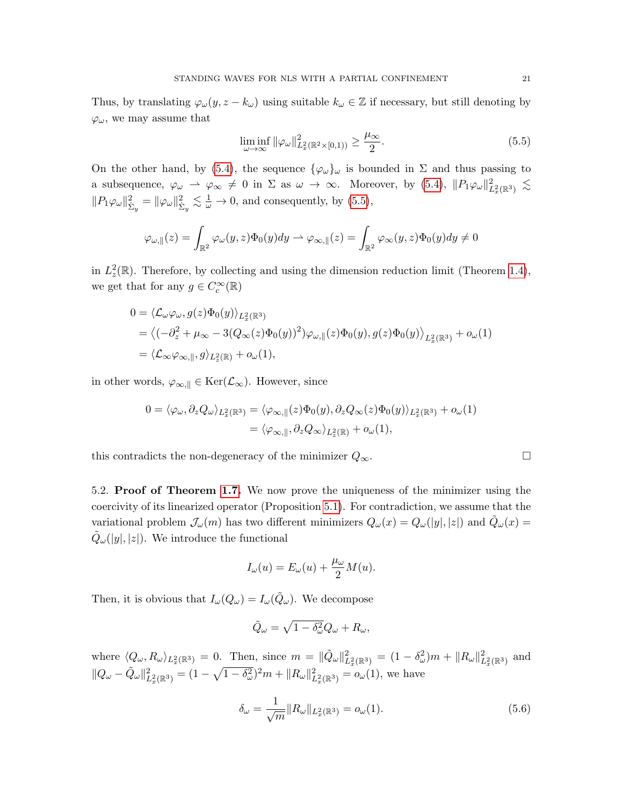Thus, by translating  $\varphi_{\omega}(y, z - k_{\omega})$  using suitable  $k_{\omega} \in \mathbb{Z}$  if necessary, but still denoting by  $\varphi_{\omega}$ , we may assume that

<span id="page-20-0"></span>
$$
\liminf_{\omega \to \infty} \|\varphi_{\omega}\|_{L_x^2(\mathbb{R}^2 \times [0,1))}^2 \ge \frac{\mu_{\infty}}{2}.
$$
\n(5.5)

On the other hand, by [\(5.4\)](#page-19-0), the sequence  $\{\varphi_{\omega}\}_{\omega}$  is bounded in  $\Sigma$  and thus passing to a subsequence,  $\varphi_{\omega} \to \varphi_{\infty} \neq 0$  in  $\Sigma$  as  $\omega \to \infty$ . Moreover, by [\(5.4\)](#page-19-0),  $||P_1\varphi_{\omega}||^2_{L^2_x(\mathbb{R}^3)} \lesssim$  $||P_1\varphi_\omega||_{\dot{\Sigma}_y}^2 = ||\varphi_\omega||_{\dot{\Sigma}_y}^2 \lesssim \frac{1}{\omega} \to 0$ , and consequently, by [\(5.5\)](#page-20-0),

$$
\varphi_{\omega, \|}(z) = \int_{\mathbb{R}^2} \varphi_{\omega}(y, z) \Phi_0(y) dy \to \varphi_{\infty, \|}(z) = \int_{\mathbb{R}^2} \varphi_{\infty}(y, z) \Phi_0(y) dy \neq 0
$$

in  $L_z^2(\mathbb{R})$ . Therefore, by collecting and using the dimension reduction limit (Theorem [1.4\)](#page-4-1), we get that for any  $g \in C_c^{\infty}(\mathbb{R})$ 

$$
0 = \langle \mathcal{L}_{\omega} \varphi_{\omega}, g(z) \Phi_0(y) \rangle_{L_x^2(\mathbb{R}^3)}
$$
  
=  $\langle (-\partial_z^2 + \mu_\infty - 3(Q_\infty(z)\Phi_0(y))^2) \varphi_{\omega, \|}(z) \Phi_0(y), g(z) \Phi_0(y) \rangle_{L_x^2(\mathbb{R}^3)} + o_\omega(1)$   
=  $\langle \mathcal{L}_{\infty} \varphi_{\infty, \|}, g \rangle_{L_z^2(\mathbb{R})} + o_\omega(1),$ 

in other words,  $\varphi_{\infty, \parallel} \in \text{Ker}(\mathcal{L}_{\infty})$ . However, since

$$
0 = \langle \varphi_{\omega}, \partial_z Q_{\omega} \rangle_{L_x^2(\mathbb{R}^3)} = \langle \varphi_{\infty, \|}(z) \Phi_0(y), \partial_z Q_{\infty}(z) \Phi_0(y) \rangle_{L_x^2(\mathbb{R}^3)} + o_{\omega}(1)
$$
  
=  $\langle \varphi_{\infty, \|}, \partial_z Q_{\infty} \rangle_{L_z^2(\mathbb{R})} + o_{\omega}(1),$ 

this contradicts the non-degeneracy of the minimizer  $Q_{\infty}$ .

5.2. Proof of Theorem [1.7.](#page-4-2) We now prove the uniqueness of the minimizer using the coercivity of its linearized operator (Proposition [5.1\)](#page-17-1). For contradiction, we assume that the variational problem  $\mathcal{J}_{\omega}(m)$  has two different minimizers  $Q_{\omega}(x) = Q_{\omega}(|y|, |z|)$  and  $\tilde{Q}_{\omega}(x) =$  $\tilde{Q}_{\omega}(y|,|z|)$ . We introduce the functional

$$
I_{\omega}(u) = E_{\omega}(u) + \frac{\mu_{\omega}}{2}M(u).
$$

Then, it is obvious that  $I_{\omega}(Q_{\omega}) = I_{\omega}(\tilde{Q}_{\omega})$ . We decompose

$$
\tilde{Q}_{\omega} = \sqrt{1 - \delta_{\omega}^2} Q_{\omega} + R_{\omega},
$$

where  $\langle Q_{\omega}, R_{\omega} \rangle_{L_x^2(\mathbb{R}^3)} = 0$ . Then, since  $m = ||\tilde{Q}_{\omega}||_{L_x^2(\mathbb{R}^3)}^2 = (1 - \delta_{\omega}^2)m + ||R_{\omega}||_{L_x^2(\mathbb{R}^3)}^2$  and  $||Q_{\omega} - \tilde{Q}_{\omega}||_{L_x^2(\mathbb{R}^3)}^2 = (1 - \sqrt{1 - \delta_{\omega}^2})^2 m + ||R_{\omega}||_{L_x^2(\mathbb{R}^3)}^2 = o_{\omega}(1)$ , we have

<span id="page-20-1"></span>
$$
\delta_{\omega} = \frac{1}{\sqrt{m}} \|R_{\omega}\|_{L_x^2(\mathbb{R}^3)} = o_{\omega}(1). \tag{5.6}
$$

$$
\Box
$$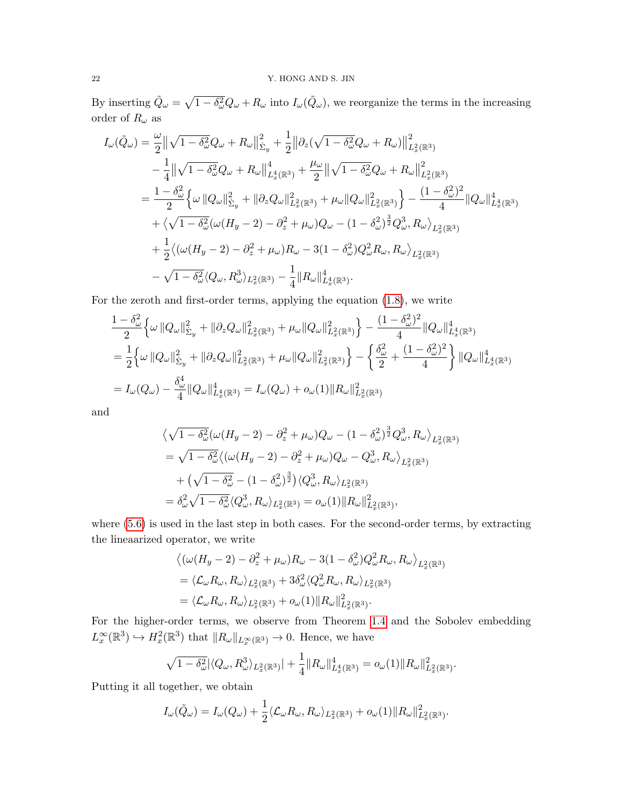By inserting  $\tilde{Q}_\omega = \sqrt{1-\delta_\omega^2}Q_\omega + R_\omega$  into  $I_\omega(\tilde{Q}_\omega)$ , we reorganize the terms in the increasing order of  $R_\omega$  as

$$
I_{\omega}(\tilde{Q}_{\omega}) = \frac{\omega}{2} ||\sqrt{1 - \delta_{\omega}^{2}} Q_{\omega} + R_{\omega} ||_{\Sigma_{y}}^{2} + \frac{1}{2} ||\partial_{z}(\sqrt{1 - \delta_{\omega}^{2}} Q_{\omega} + R_{\omega})||_{L_{x}^{2}(\mathbb{R}^{3})}^{2}
$$
  
\n
$$
- \frac{1}{4} ||\sqrt{1 - \delta_{\omega}^{2}} Q_{\omega} + R_{\omega} ||_{L_{x}^{4}(\mathbb{R}^{3})}^{4} + \frac{\mu_{\omega}}{2} ||\sqrt{1 - \delta_{\omega}^{2}} Q_{\omega} + R_{\omega} ||_{L_{x}^{2}(\mathbb{R}^{3})}^{2}
$$
  
\n
$$
= \frac{1 - \delta_{\omega}^{2}}{2} \Big\{ \omega ||Q_{\omega}||_{\Sigma_{y}}^{2} + ||\partial_{z}Q_{\omega}||_{L_{x}^{2}(\mathbb{R}^{3})}^{2} + \mu_{\omega} ||Q_{\omega}||_{L_{x}^{2}(\mathbb{R}^{3})}^{2} \Big\} - \frac{(1 - \delta_{\omega}^{2})^{2}}{4} ||Q_{\omega}||_{L_{x}^{4}(\mathbb{R}^{3})}^{4}
$$
  
\n
$$
+ \Big\{ \sqrt{1 - \delta_{\omega}^{2}} (\omega (H_{y} - 2) - \partial_{z}^{2} + \mu_{\omega}) Q_{\omega} - (1 - \delta_{\omega}^{2})^{\frac{3}{2}} Q_{\omega}^{3}, R_{\omega} \Big\rangle_{L_{x}^{2}(\mathbb{R}^{3})} + \frac{1}{2} \langle (\omega (H_{y} - 2) - \partial_{z}^{2} + \mu_{\omega}) R_{\omega} - 3(1 - \delta_{\omega}^{2}) Q_{\omega}^{2} R_{\omega}, R_{\omega} \rangle_{L_{x}^{2}(\mathbb{R}^{3})} - \sqrt{1 - \delta_{\omega}^{2}} \langle Q_{\omega}, R_{\omega}^{3} \rangle_{L_{x}^{2}(\mathbb{R}^{3})} - \frac{1}{4} ||R_{\omega}||_{L_{x}^{4}(\mathbb{R}^{3})}^{4}.
$$

For the zeroth and first-order terms, applying the equation [\(1.8\)](#page-3-3), we write

$$
\frac{1 - \delta_{\omega}^{2}}{2} \left\{ \omega \left\| Q_{\omega} \right\|_{\Sigma_{y}}^{2} + \left\| \partial_{z} Q_{\omega} \right\|_{L_{x}^{2}(\mathbb{R}^{3})}^{2} + \mu_{\omega} \left\| Q_{\omega} \right\|_{L_{x}^{2}(\mathbb{R}^{3})}^{2} \right\} - \frac{(1 - \delta_{\omega}^{2})^{2}}{4} \left\| Q_{\omega} \right\|_{L_{x}^{4}(\mathbb{R}^{3})}^{4}
$$
\n
$$
= \frac{1}{2} \left\{ \omega \left\| Q_{\omega} \right\|_{\Sigma_{y}}^{2} + \left\| \partial_{z} Q_{\omega} \right\|_{L_{x}^{2}(\mathbb{R}^{3})}^{2} + \mu_{\omega} \left\| Q_{\omega} \right\|_{L_{x}^{2}(\mathbb{R}^{3})}^{2} \right\} - \left\{ \frac{\delta_{\omega}^{2}}{2} + \frac{(1 - \delta_{\omega}^{2})^{2}}{4} \right\} \left\| Q_{\omega} \right\|_{L_{x}^{4}(\mathbb{R}^{3})}^{4}
$$
\n
$$
= I_{\omega}(Q_{\omega}) - \frac{\delta_{\omega}^{4}}{4} \left\| Q_{\omega} \right\|_{L_{x}^{4}(\mathbb{R}^{3})}^{4} = I_{\omega}(Q_{\omega}) + o_{\omega}(1) \left\| R_{\omega} \right\|_{L_{x}^{2}(\mathbb{R}^{3})}^{2}
$$

and

$$
\langle \sqrt{1-\delta_{\omega}^{2}}(\omega(H_{y}-2)-\partial_{z}^{2}+\mu_{\omega})Q_{\omega}-(1-\delta_{\omega}^{2})^{\frac{3}{2}}Q_{\omega}^{3},R_{\omega}\rangle_{L_{x}^{2}(\mathbb{R}^{3})}
$$
  
= $\sqrt{1-\delta_{\omega}^{2}}\langle (\omega(H_{y}-2)-\partial_{z}^{2}+\mu_{\omega})Q_{\omega}-Q_{\omega}^{3},R_{\omega}\rangle_{L_{x}^{2}(\mathbb{R}^{3})}$   
+ $(\sqrt{1-\delta_{\omega}^{2}}-(1-\delta_{\omega}^{2})^{\frac{3}{2}})\langle Q_{\omega}^{3},R_{\omega}\rangle_{L_{x}^{2}(\mathbb{R}^{3})}$   
= $\delta_{\omega}^{2}\sqrt{1-\delta_{\omega}^{2}}\langle Q_{\omega}^{3},R_{\omega}\rangle_{L_{x}^{2}(\mathbb{R}^{3})}=o_{\omega}(1)||R_{\omega}||_{L_{x}^{2}(\mathbb{R}^{3})}^{2},$ 

where [\(5.6\)](#page-20-1) is used in the last step in both cases. For the second-order terms, by extracting the lineaarized operator, we write

$$
\langle (\omega(H_y - 2) - \partial_z^2 + \mu_\omega) R_\omega - 3(1 - \delta_\omega^2) Q_\omega^2 R_\omega, R_\omega \rangle_{L_x^2(\mathbb{R}^3)}
$$
  
=  $\langle \mathcal{L}_\omega R_\omega, R_\omega \rangle_{L_x^2(\mathbb{R}^3)} + 3\delta_\omega^2 \langle Q_\omega^2 R_\omega, R_\omega \rangle_{L_x^2(\mathbb{R}^3)}$   
=  $\langle \mathcal{L}_\omega R_\omega, R_\omega \rangle_{L_x^2(\mathbb{R}^3)} + o_\omega(1) || R_\omega ||_{L_x^2(\mathbb{R}^3)}^2.$ 

For the higher-order terms, we observe from Theorem [1.4](#page-4-1) and the Sobolev embedding  $L_x^{\infty}(\mathbb{R}^3) \hookrightarrow H_x^2(\mathbb{R}^3)$  that  $||R_{\omega}||_{L_x^{\infty}(\mathbb{R}^3)} \to 0$ . Hence, we have

$$
\sqrt{1-\delta_{\omega}^2}|\langle Q_{\omega}, R_{\omega}^3 \rangle_{L_x^2(\mathbb{R}^3)}| + \frac{1}{4} ||R_{\omega}||_{L_x^4(\mathbb{R}^3)}^4 = o_{\omega}(1)||R_{\omega}||_{L_x^2(\mathbb{R}^3)}^2.
$$

Putting it all together, we obtain

$$
I_{\omega}(\tilde{Q}_{\omega}) = I_{\omega}(Q_{\omega}) + \frac{1}{2} \langle \mathcal{L}_{\omega} R_{\omega}, R_{\omega} \rangle_{L_x^2(\mathbb{R}^3)} + o_{\omega}(1) \| R_{\omega} \|_{L_x^2(\mathbb{R}^3)}^2.
$$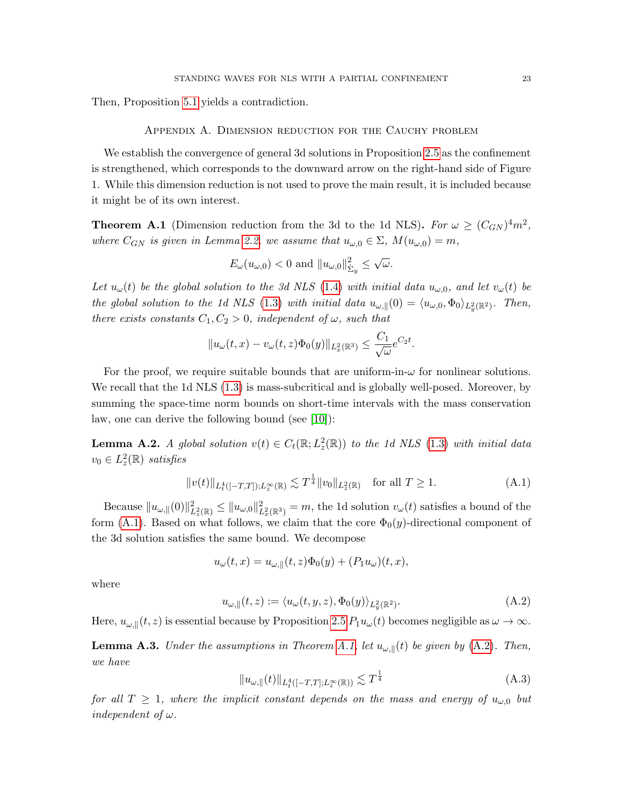Then, Proposition [5.1](#page-17-1) yields a contradiction.

### Appendix A. Dimension reduction for the Cauchy problem

We establish the convergence of general 3d solutions in Proposition [2.5](#page-9-0) as the confinement is strengthened, which corresponds to the downward arrow on the right-hand side of Figure 1. While this dimension reduction is not used to prove the main result, it is included because it might be of its own interest.

<span id="page-22-1"></span>**Theorem A.1** (Dimension reduction from the 3d to the 1d NLS). For  $\omega \ge (C_{GN})^4 m^2$ , where  $C_{GN}$  is given in Lemma [2.2,](#page-7-0) we assume that  $u_{\omega,0} \in \Sigma$ ,  $M(u_{\omega,0}) = m$ ,

$$
E_{\omega}(u_{\omega,0}) < 0
$$
 and  $||u_{\omega,0}||_{\dot{\Sigma}_y}^2 \leq \sqrt{\omega}$ .

Let  $u_{\omega}(t)$  be the global solution to the 3d NLS [\(1.4\)](#page-2-0) with initial data  $u_{\omega,0}$ , and let  $v_{\omega}(t)$  be the global solution to the 1d NLS [\(1.3\)](#page-1-1) with initial data  $u_{\omega,\parallel}(0) = \langle u_{\omega,0}, \Phi_0 \rangle_{L_y^2(\mathbb{R}^2)}$ . Then, there exists constants  $C_1, C_2 > 0$ , independent of  $\omega$ , such that

$$
||u_{\omega}(t,x) - v_{\omega}(t,z)\Phi_0(y)||_{L^2_x(\mathbb{R}^3)} \leq \frac{C_1}{\sqrt{\omega}}e^{C_2t}.
$$

For the proof, we require suitable bounds that are uniform-in- $\omega$  for nonlinear solutions. We recall that the 1d NLS  $(1.3)$  is mass-subcritical and is globally well-posed. Moreover, by summing the space-time norm bounds on short-time intervals with the mass conservation law, one can derive the following bound (see [\[10\]](#page-24-13)):

**Lemma A.2.** A global solution  $v(t) \in C_t(\mathbb{R}; L_z^2(\mathbb{R}))$  to the 1d NLS [\(1.3\)](#page-1-1) with initial data  $v_0 \in L_z^2(\mathbb{R})$  satisfies

<span id="page-22-0"></span>
$$
||v(t)||_{L_t^4([-T,T]); L_x^{\infty}(\mathbb{R})} \lesssim T^{\frac{1}{4}} ||v_0||_{L_x^2(\mathbb{R})} \quad \text{for all } T \ge 1.
$$
 (A.1)

Because  $||u_{\omega,||}(0)||_{L_z^2(\mathbb{R})}^2 \le ||u_{\omega,0}||_{L_x^2(\mathbb{R}^3)}^2 = m$ , the 1d solution  $v_{\omega}(t)$  satisfies a bound of the form [\(A.1\)](#page-22-0). Based on what follows, we claim that the core  $\Phi_0(y)$ -directional component of the 3d solution satisfies the same bound. We decompose

$$
u_{\omega}(t,x) = u_{\omega,\parallel}(t,z)\Phi_0(y) + (P_1u_{\omega})(t,x),
$$

where

<span id="page-22-2"></span>
$$
u_{\omega,\parallel}(t,z) := \langle u_{\omega}(t,y,z), \Phi_0(y) \rangle_{L_y^2(\mathbb{R}^2)}.
$$
\n(A.2)

Here,  $u_{\omega,\parallel}(t,z)$  is essential because by Proposition [2.5](#page-9-0)  $P_1u_{\omega}(t)$  becomes negligible as  $\omega \to \infty$ .

**Lemma A.3.** Under the assumptions in Theorem [A.1,](#page-22-1) let  $u_{\omega,\parallel}(t)$  be given by [\(A.2\)](#page-22-2). Then, we have

<span id="page-22-3"></span>
$$
||u_{\omega,||}(t)||_{L^{4}_{t}([-T,T];L^{\infty}_{x}(\mathbb{R}))} \lesssim T^{\frac{1}{4}}
$$
\n(A.3)

for all  $T \geq 1$ , where the implicit constant depends on the mass and energy of  $u_{\omega,0}$  but independent of  $\omega$ .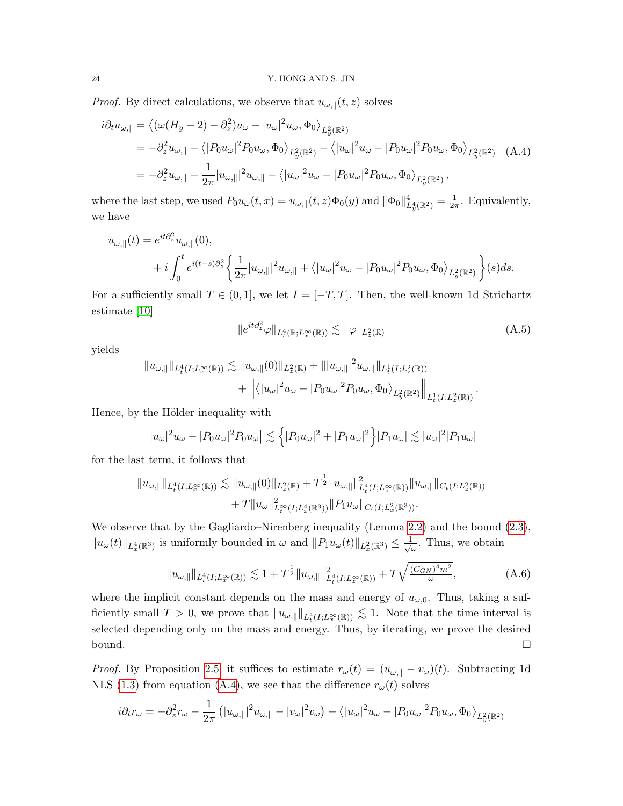*Proof.* By direct calculations, we observe that  $u_{\omega,\parallel}(t,z)$  solves

<span id="page-23-0"></span>
$$
i\partial_t u_{\omega,\parallel} = \left\langle (\omega(H_y - 2) - \partial_z^2) u_{\omega} - |u_{\omega}|^2 u_{\omega}, \Phi_0 \right\rangle_{L_y^2(\mathbb{R}^2)}
$$
  
\n
$$
= -\partial_z^2 u_{\omega,\parallel} - \left\langle |P_0 u_{\omega}|^2 P_0 u_{\omega}, \Phi_0 \right\rangle_{L_y^2(\mathbb{R}^2)} - \left\langle |u_{\omega}|^2 u_{\omega} - |P_0 u_{\omega}|^2 P_0 u_{\omega}, \Phi_0 \right\rangle_{L_y^2(\mathbb{R}^2)} \quad \text{(A.4)}
$$
  
\n
$$
= -\partial_z^2 u_{\omega,\parallel} - \frac{1}{2\pi} |u_{\omega,\parallel}|^2 u_{\omega,\parallel} - \left\langle |u_{\omega}|^2 u_{\omega} - |P_0 u_{\omega}|^2 P_0 u_{\omega}, \Phi_0 \right\rangle_{L_y^2(\mathbb{R}^2)},
$$

where the last step, we used  $P_0u_\omega(t,x) = u_{\omega,\parallel}(t,z)\Phi_0(y)$  and  $\|\Phi_0\|_{L_y^4(\mathbb{R}^2)}^4 = \frac{1}{2\tau}$  $\frac{1}{2\pi}$ . Equivalently, we have

$$
u_{\omega,\parallel}(t) = e^{it\partial_x^2} u_{\omega,\parallel}(0),
$$
  
+ 
$$
i \int_0^t e^{i(t-s)\partial_z^2} \left\{ \frac{1}{2\pi} |u_{\omega,\parallel}|^2 u_{\omega,\parallel} + \langle |u_{\omega}|^2 u_{\omega} - |P_0 u_{\omega}|^2 P_0 u_{\omega}, \Phi_0 \rangle_{L_y^2(\mathbb{R}^2)} \right\} (s) ds.
$$

For a sufficiently small  $T \in (0,1]$ , we let  $I = [-T, T]$ . Then, the well-known 1d Strichartz estimate [\[10\]](#page-24-13)

$$
||e^{it\partial_z^2}\varphi||_{L_t^4(\mathbb{R};L_x^{\infty}(\mathbb{R}))} \lesssim ||\varphi||_{L_x^2(\mathbb{R})}
$$
\n(A.5)

yields

$$
||u_{\omega,\parallel}||_{L_t^4(I;L_x^{\infty}(\mathbb{R}))} \lesssim ||u_{\omega,\parallel}(0)||_{L_z^2(\mathbb{R})} + |||u_{\omega,\parallel}|^2 u_{\omega,\parallel}||_{L_t^1(I;L_z^2(\mathbb{R}))}
$$
  
+ 
$$
||\langle |u_{\omega}|^2 u_{\omega} - |P_0 u_{\omega}|^2 P_0 u_{\omega}, \Phi_0 \rangle_{L_y^2(\mathbb{R}^2)}||_{L_t^1(I;L_z^2(\mathbb{R}))}.
$$

Hence, by the Hölder inequality with

$$
||u_{\omega}|^2 u_{\omega} - |P_0 u_{\omega}|^2 |u_{\omega}| \lesssim \left\{ |P_0 u_{\omega}|^2 + |P_1 u_{\omega}|^2 \right\} |P_1 u_{\omega}| \lesssim |u_{\omega}|^2 |P_1 u_{\omega}|
$$

for the last term, it follows that

$$
||u_{\omega,\parallel}||_{L_t^4(I;L_x^{\infty}(\mathbb{R}))} \lesssim ||u_{\omega,\parallel}(0)||_{L_x^2(\mathbb{R})} + T^{\frac{1}{2}} ||u_{\omega,\parallel}||_{L_t^4(I;L_x^{\infty}(\mathbb{R}))}^2 ||u_{\omega,\parallel}||_{C_t(I;L_x^2(\mathbb{R}))}
$$
  
+ 
$$
T ||u_{\omega}||_{L_t^{\infty}(I;L_x^4(\mathbb{R}^3))}^2 ||P_1 u_{\omega}||_{C_t(I;L_x^2(\mathbb{R}^3))}.
$$

We observe that by the Gagliardo–Nirenberg inequality (Lemma [2.2\)](#page-7-0) and the bound [\(2.3\)](#page-9-2),  $||u_\omega(t)||_{L_x^4(\mathbb{R}^3)}$  is uniformly bounded in  $\omega$  and  $||P_1u_\omega(t)||_{L_x^2(\mathbb{R}^3)} \leq \frac{1}{\sqrt{3}}$  $\frac{1}{\omega}$ . Thus, we obtain

<span id="page-23-1"></span>
$$
||u_{\omega,\parallel}||_{L_t^4(I;L_x^{\infty}(\mathbb{R}))} \lesssim 1 + T^{\frac{1}{2}} ||u_{\omega,\parallel}||_{L_t^4(I;L_x^{\infty}(\mathbb{R}))}^2 + T\sqrt{\frac{(C_{GN})^4 m^2}{\omega}}, \tag{A.6}
$$

where the implicit constant depends on the mass and energy of  $u_{\omega,0}$ . Thus, taking a sufficiently small  $T > 0$ , we prove that  $||u_{\omega,||}||_{L_t^4(I;L_x^{\infty}(\mathbb{R}))} \lesssim 1$ . Note that the time interval is selected depending only on the mass and energy. Thus, by iterating, we prove the desired  $\Box$ bound.

*Proof.* By Proposition [2.5,](#page-9-0) it suffices to estimate  $r_{\omega}(t) = (u_{\omega,\parallel} - v_{\omega})(t)$ . Subtracting 1d NLS [\(1.3\)](#page-1-1) from equation [\(A.4\)](#page-23-0), we see that the difference  $r_{\omega}(t)$  solves

$$
i\partial_t r_\omega = -\partial_z^2 r_\omega - \frac{1}{2\pi} \left( |u_{\omega,\parallel}|^2 u_{\omega,\parallel} - |v_{\omega}|^2 v_{\omega} \right) - \left\langle |u_{\omega}|^2 u_{\omega} - |P_0 u_{\omega}|^2 P_0 u_{\omega}, \Phi_0 \right\rangle_{L_y^2(\mathbb{R}^2)}
$$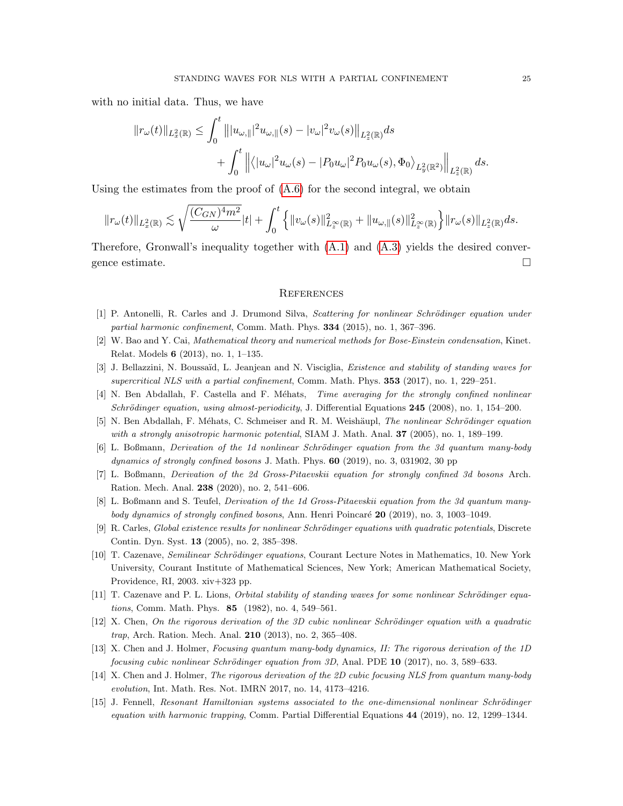with no initial data. Thus, we have

$$
||r_{\omega}(t)||_{L_{x}^{2}(\mathbb{R})} \leq \int_{0}^{t} |||u_{\omega,||}|^{2} u_{\omega,||}(s) - |v_{\omega}|^{2} v_{\omega}(s)||_{L_{z}^{2}(\mathbb{R})} ds
$$
  
+ 
$$
\int_{0}^{t} ||\langle |u_{\omega}|^{2} u_{\omega}(s) - |P_{0} u_{\omega}|^{2} P_{0} u_{\omega}(s), \Phi_{0} \rangle_{L_{y}^{2}(\mathbb{R}^{2})} ||_{L_{z}^{2}(\mathbb{R})} ds.
$$

Using the estimates from the proof of  $(A.6)$  for the second integral, we obtain

$$
||r_{\omega}(t)||_{L_{x}^{2}(\mathbb{R})}\lesssim\sqrt{\frac{(C_{GN})^{4}m^{2}}{\omega}}|t|+\int_{0}^{t}\left\{||v_{\omega}(s)||^{2}_{L_{x}^{\infty}(\mathbb{R})}+||u_{\omega,\parallel}(s)||^{2}_{L_{x}^{\infty}(\mathbb{R})}\right\}||r_{\omega}(s)||_{L_{z}^{2}(\mathbb{R})}ds.
$$

Therefore, Gronwall's inequality together with  $(A.1)$  and  $(A.3)$  yields the desired convergence estimate.

### **REFERENCES**

- <span id="page-24-7"></span>[1] P. Antonelli, R. Carles and J. Drumond Silva, Scattering for nonlinear Schrödinger equation under partial harmonic confinement, Comm. Math. Phys. 334 (2015), no. 1, 367–396.
- <span id="page-24-11"></span>[2] W. Bao and Y. Cai, Mathematical theory and numerical methods for Bose-Einstein condensation, Kinet. Relat. Models 6 (2013), no. 1, 1–135.
- <span id="page-24-0"></span>[3] J. Bellazzini, N. Boussaïd, L. Jeanjean and N. Visciglia, *Existence and stability of standing waves for* supercritical NLS with a partial confinement, Comm. Math. Phys. 353 (2017), no. 1, 229–251.
- <span id="page-24-8"></span>[4] N. Ben Abdallah, F. Castella and F. Méhats, Time averaging for the strongly confined nonlinear Schrödinger equation, using almost-periodicity, J. Differential Equations 245 (2008), no. 1, 154-200.
- <span id="page-24-9"></span>[5] N. Ben Abdallah, F. Méhats, C. Schmeiser and R. M. Weishäupl, The nonlinear Schrödinger equation with a strongly anisotropic harmonic potential, SIAM J. Math. Anal.  $37$  (2005), no. 1, 189–199.
- <span id="page-24-2"></span>[6] L. Boßmann, *Derivation of the 1d nonlinear Schrödinger equation from the 3d quantum many-body* dynamics of strongly confined bosons J. Math. Phys.  $60$  (2019), no. 3, 031902, 30 pp
- <span id="page-24-3"></span>[7] L. Boßmann, Derivation of the 2d Gross-Pitaevskii equation for strongly confined 3d bosons Arch. Ration. Mech. Anal. 238 (2020), no. 2, 541–606.
- <span id="page-24-4"></span>[8] L. Boßmann and S. Teufel, Derivation of the 1d Gross-Pitaevskii equation from the 3d quantum manybody dynamics of strongly confined bosons, Ann. Henri Poincaré 20 (2019), no. 3, 1003–1049.
- <span id="page-24-12"></span>[9] R. Carles, Global existence results for nonlinear Schrödinger equations with quadratic potentials, Discrete Contin. Dyn. Syst. 13 (2005), no. 2, 385–398.
- <span id="page-24-13"></span>[10] T. Cazenave, Semilinear Schrödinger equations, Courant Lecture Notes in Mathematics, 10. New York University, Courant Institute of Mathematical Sciences, New York; American Mathematical Society, Providence, RI, 2003. xiv+323 pp.
- <span id="page-24-14"></span>[11] T. Cazenave and P. L. Lions, *Orbital stability of standing waves for some nonlinear Schrödinger equa*tions, Comm. Math. Phys. 85 (1982), no. 4, 549–561.
- <span id="page-24-1"></span> $[12]$  X. Chen, On the rigorous derivation of the 3D cubic nonlinear Schrödinger equation with a quadratic trap, Arch. Ration. Mech. Anal. 210 (2013), no. 2, 365–408.
- <span id="page-24-5"></span>[13] X. Chen and J. Holmer, Focusing quantum many-body dynamics, II: The rigorous derivation of the 1D focusing cubic nonlinear Schrödinger equation from  $3D$ , Anal. PDE 10 (2017), no. 3, 589–633.
- <span id="page-24-6"></span>[14] X. Chen and J. Holmer, The rigorous derivation of the 2D cubic focusing NLS from quantum many-body evolution, Int. Math. Res. Not. IMRN 2017, no. 14, 4173–4216.
- <span id="page-24-10"></span>[15] J. Fennell, Resonant Hamiltonian systems associated to the one-dimensional nonlinear Schrödinger equation with harmonic trapping, Comm. Partial Differential Equations 44 (2019), no. 12, 1299–1344.